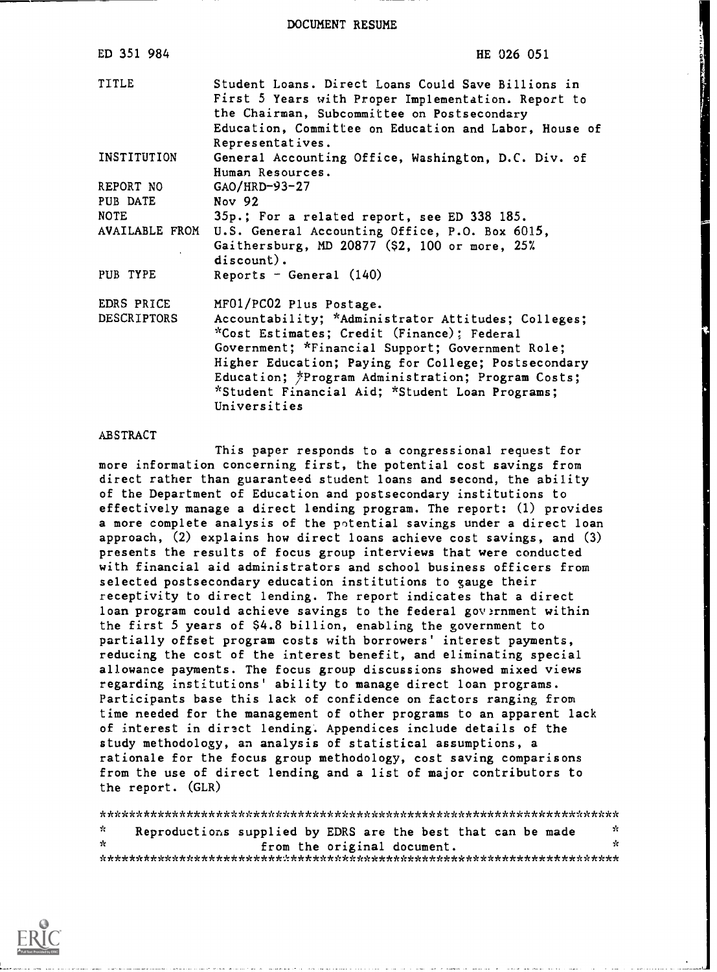DOCUMENT RESUME

| ED 351 984         | HE 026 051                                                                                                                                                                                                                            |
|--------------------|---------------------------------------------------------------------------------------------------------------------------------------------------------------------------------------------------------------------------------------|
| TITLE              | Student Loans. Direct Loans Could Save Billions in<br>First 5 Years with Proper Implementation. Report to<br>the Chairman, Subcommittee on Postsecondary<br>Education, Committee on Education and Labor, House of<br>Representatives. |
| INSTITUTION        | General Accounting Office, Washington, D.C. Div. of<br>Human Resources.                                                                                                                                                               |
| REPORT NO          | $GAO/HRD-93-27$                                                                                                                                                                                                                       |
| PUB DATE           | Nov 92                                                                                                                                                                                                                                |
| <b>NOTE</b>        | 35p.; For a related report, see ED 338 185.                                                                                                                                                                                           |
|                    | AVAILABLE FROM U.S. General Accounting Office, P.O. Box 6015,<br>Gaithersburg, MD 20877 (\$2, 100 or more, 25%<br>$discount)$ .                                                                                                       |
| PUB TYPE           | Reports - General $(140)$                                                                                                                                                                                                             |
| EDRS PRICE         | MF01/PC02 Plus Postage.                                                                                                                                                                                                               |
| <b>DESCRIPTORS</b> | Accountability; *Administrator Attitudes; Colleges;<br>*Cost Estimates; Credit (Finance); Federal                                                                                                                                     |
|                    | Government; *Financial Support; Government Role;                                                                                                                                                                                      |
|                    | Higher Education; Paying for College; Postsecondary                                                                                                                                                                                   |
|                    | Education; *Program Administration; Program Costs;                                                                                                                                                                                    |
|                    | *Student Financial Aid; *Student Loan Programs;                                                                                                                                                                                       |
|                    | Universities                                                                                                                                                                                                                          |

### ABSTRACT

This paper responds to a congressional request for more information concerning first, the potential cost savings from direct rather than guaranteed student loans and second, the ability of the Department of Education and postsecondary institutions to effectively manage a direct lending program. The report: (1) provides a more complete analysis of the potential savings under a direct loan approach, (2) explains how direct loans achieve cost savings, and (3) presents the results of focus group interviews that were conducted with financial aid administrators and school business officers from selected postsecondary education institutions to gauge their receptivity to direct lending. The report indicates that a direct loan program could achieve savings to the federal government within the first 5 years of \$4.8 billion, enabling the government to partially offset program costs with borrowers' interest payments, reducing the cost of the interest benefit, and eliminating special allowance payments. The focus group discussions showed mixed views regarding institutions' ability to manage direct loan programs. Participants base this lack of confidence on factors ranging from time needed for the management of other programs to an apparent lack of interest in direct lending'. Appendices include details of the study methodology, an analysis of statistical assumptions, a rationale for the focus group methodology, cost saving comparisons from the use of direct lending and a list of major contributors to the report. (GLR)

\*\*\*\*\*\*\*\*\*\*\*\*\*\*\*\*\*\*\*\*\*\*\*\*\*\*\*\*\*\*\*\*\*\*\*\*\*\*\*\*\*\*\*\*\*\*\*\*\*\*\*\*\*\*\*\*\*\*\*\*\*\*\*\*\*\*\*\*\*\*\*  $\mathbf{v}$ Reproductions supplied by EDRS are the best that can be made from the original document. \*\*\*\*\*\*\*\*\*\*\*\*\*\*\*\*\*\*\*\*\*\*\*\*\*\*\*\*\*\*\*\*\*\*\*\*\*\*\*\*\*\*\*\*\*\*\*\*\*\*\*\*\*\*\*\*\*\*\*\*\*\*\*\*\*\*\*\*\*\*\*

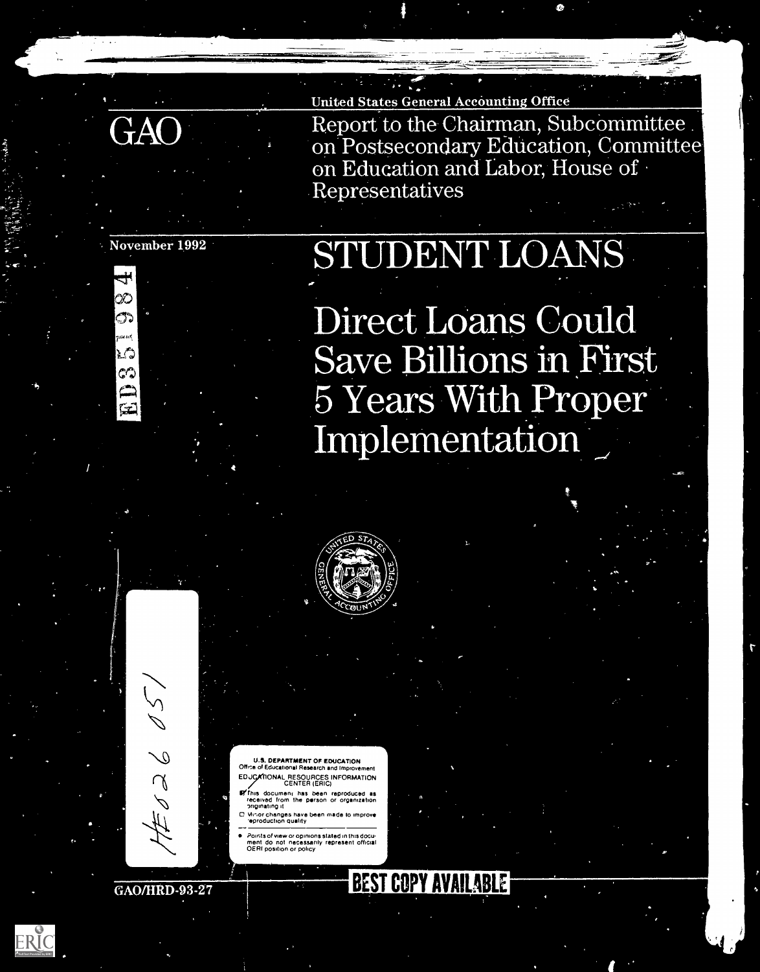

Report to the Chairman, Subcommittee on Postsecondary Education, Committee on Education and Labor, House of<br>Representatives  $\boldsymbol{\rho} \boldsymbol{\rho}$  and a  $\boldsymbol{\rho}$ 

## November 1992

X) ొన

r C لأمهم

نتتبا

# STUDENT LOANS

Direct Lo ave Billions 5 Years With Proper Implementation



DEPARTMENT OF EDUCATION Office of Educational Research and Improv EDJCATIONAL RESOURCES INFORMATION<br>CENTER (ERIC)

- .<br>Fhis document has been reproduced received from the person or organization lriginating it
- C. Minor changes have been made to improve subsequently and the production quality  $\frac{1}{2}$
- Points of view or opinions stated in th sdocu ment do not necessarily represent official OERI position or policy

BEST COPY AVAILABLE

r

GAO/HRD-93-27

82

 $\zeta$ 

1

ERIC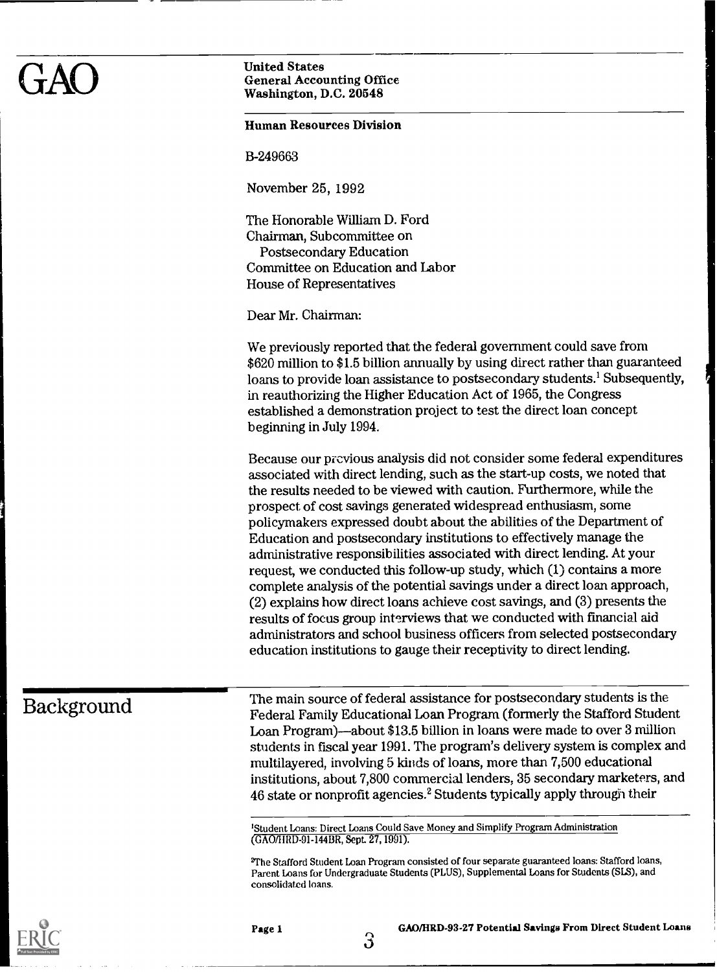### Human Resources Division

13-249663

November 25, 1992

The Honorable William D. Ford Chairman, Subcommittee on Postsecondary Education Committee on Education and Labor House of Representatives

Dear Mr. Chairman:

We previously reported that the federal government could save from \$620 million to \$1.5 billion annually by using direct rather than guaranteed loans to provide loan assistance to postsecondary students.' Subsequently, in reauthorizing the Higher Education Act of 1965, the Congress established a demonstration project to test the direct loan concept beginning in July 1994.

Because our previous analysis did not consider some federal expenditures associated with direct lending, such as the start-up costs, we noted that the results needed to be viewed with caution. Furthermore, while the prospect of cost savings generated widespread enthusiasm, some policymakers expressed doubt about the abilities of the Department of Education and postsecondary institutions to effectively manage the administrative responsibilities associated with direct lending. At your request, we conducted this follow-up study, which (1) contains a more complete analysis of the potential savings under a direct loan approach, (2) explains how direct loans achieve cost savings, and (3) presents the results of focus group interviews that we conducted with financial aid administrators and school business officers from selected postsecondary education institutions to gauge their receptivity to direct lending.

Background The main source of federal assistance for postsecondary students is the Federal Family Educational Loan Program (formerly the Stafford Student Loan Program)—about  $$13.5$  billion in loans were made to over 3 million students in fiscal year 1991. The program's delivery system is complex and multilayered, involving 5 kinds of loans, more than 7,500 educational institutions, about 7,800 commercial lenders, 35 secondary marketers, and 46 state or nonprofit agencies.2 Students typically apply through their

> 'Student Loans: Direct Loans Could Save Money and Simplify Program Administration (GAO/BUD-91-144BR, Sept. 27, 1991).

'The Stafford Student Loan Program consisted of four separate guaranteed loans: Stafford loans, Parent Loans for Undergraduate Students (PLUS), Supplemental Loans for Students (SLS), and consolidated loans.

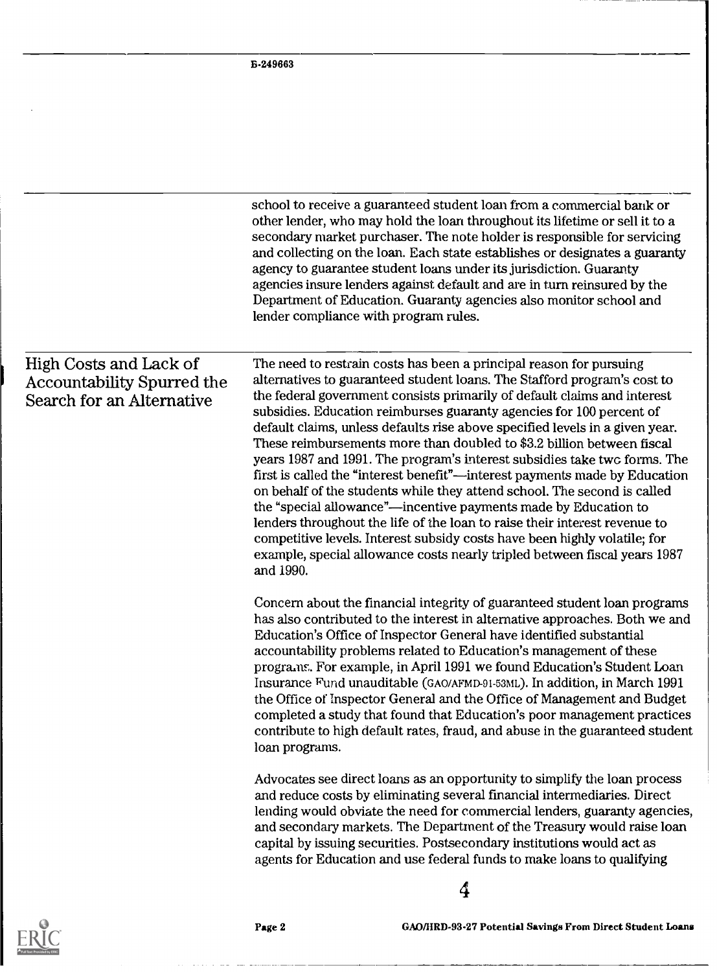|                                                                                   | school to receive a guaranteed student loan from a commercial bank or<br>other lender, who may hold the loan throughout its lifetime or sell it to a<br>secondary market purchaser. The note holder is responsible for servicing<br>and collecting on the loan. Each state establishes or designates a guaranty<br>agency to guarantee student loans under its jurisdiction. Guaranty<br>agencies insure lenders against default and are in turn reinsured by the<br>Department of Education. Guaranty agencies also monitor school and<br>lender compliance with program rules.                                                                                                                                                                                                                                                                                                                                                                                                                                             |
|-----------------------------------------------------------------------------------|------------------------------------------------------------------------------------------------------------------------------------------------------------------------------------------------------------------------------------------------------------------------------------------------------------------------------------------------------------------------------------------------------------------------------------------------------------------------------------------------------------------------------------------------------------------------------------------------------------------------------------------------------------------------------------------------------------------------------------------------------------------------------------------------------------------------------------------------------------------------------------------------------------------------------------------------------------------------------------------------------------------------------|
| High Costs and Lack of<br>Accountability Spurred the<br>Search for an Alternative | The need to restrain costs has been a principal reason for pursuing<br>alternatives to guaranteed student loans. The Stafford program's cost to<br>the federal government consists primarily of default claims and interest<br>subsidies. Education reimburses guaranty agencies for 100 percent of<br>default claims, unless defaults rise above specified levels in a given year.<br>These reimbursements more than doubled to \$3.2 billion between fiscal<br>years 1987 and 1991. The program's interest subsidies take two forms. The<br>first is called the "interest benefit"—interest payments made by Education<br>on behalf of the students while they attend school. The second is called<br>the "special allowance"—incentive payments made by Education to<br>lenders throughout the life of the loan to raise their interest revenue to<br>competitive levels. Interest subsidy costs have been highly volatile; for<br>example, special allowance costs nearly tripled between fiscal years 1987<br>and 1990. |
|                                                                                   | Concern about the financial integrity of guaranteed student loan programs<br>has also contributed to the interest in alternative approaches. Both we and<br>Education's Office of Inspector General have identified substantial<br>accountability problems related to Education's management of these<br>programs. For example, in April 1991 we found Education's Student Loan<br>Insurance Fund unauditable (GAO/AFMD-91-53ML). In addition, in March 1991<br>the Office of Inspector General and the Office of Management and Budget<br>completed a study that found that Education's poor management practices<br>contribute to high default rates, fraud, and abuse in the guaranteed student<br>loan programs.                                                                                                                                                                                                                                                                                                         |
|                                                                                   | Advocates see direct loans as an opportunity to simplify the loan process<br>and reduce costs by eliminating several financial intermediaries. Direct<br>lending would obviate the need for commercial lenders, guaranty agencies,<br>and secondary markets. The Department of the Treasury would raise loan<br>capital by issuing securities. Postsecondary institutions would act as<br>agents for Education and use federal funds to make loans to qualifying                                                                                                                                                                                                                                                                                                                                                                                                                                                                                                                                                             |
|                                                                                   | 4                                                                                                                                                                                                                                                                                                                                                                                                                                                                                                                                                                                                                                                                                                                                                                                                                                                                                                                                                                                                                            |



Page 2 GAO/HRD-93-27 Potential Savings From Direct Student Loans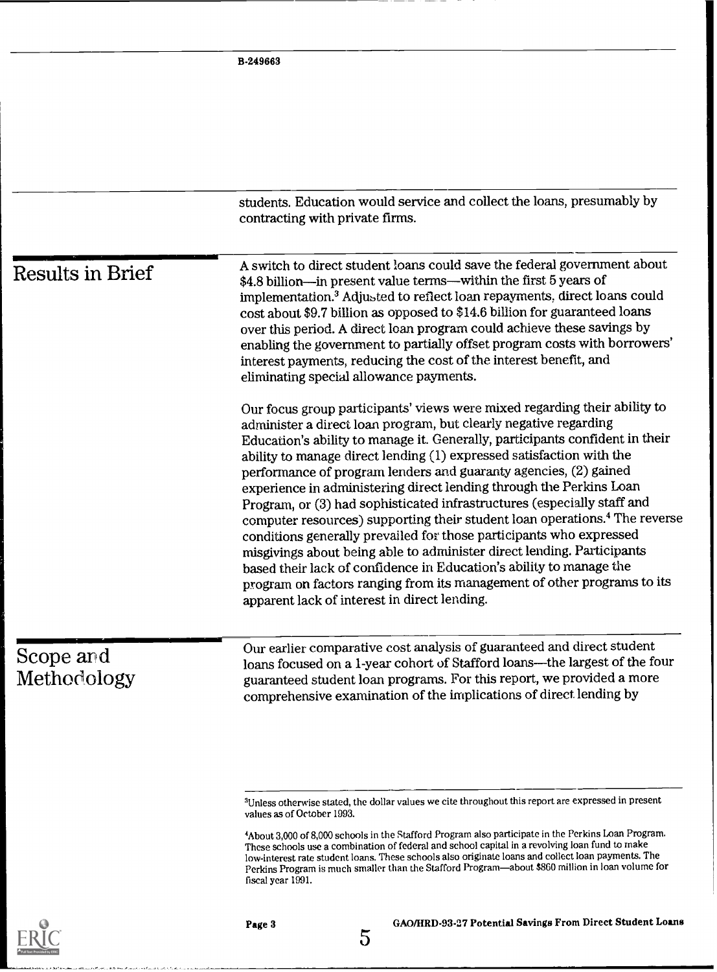|                          | students. Education would service and collect the loans, presumably by<br>contracting with private firms.                                                                                                                                                                                                                                                                                                                                                                                                                                                                                                                                                                                                                                                                                                                                                                                                                                                                |
|--------------------------|--------------------------------------------------------------------------------------------------------------------------------------------------------------------------------------------------------------------------------------------------------------------------------------------------------------------------------------------------------------------------------------------------------------------------------------------------------------------------------------------------------------------------------------------------------------------------------------------------------------------------------------------------------------------------------------------------------------------------------------------------------------------------------------------------------------------------------------------------------------------------------------------------------------------------------------------------------------------------|
| <b>Results in Brief</b>  | A switch to direct student loans could save the federal government about<br>\$4.8 billion—in present value terms—within the first 5 years of<br>implementation. <sup>3</sup> Adjusted to reflect loan repayments, direct loans could<br>cost about \$9.7 billion as opposed to \$14.6 billion for guaranteed loans<br>over this period. A direct loan program could achieve these savings by<br>enabling the government to partially offset program costs with borrowers'<br>interest payments, reducing the cost of the interest benefit, and<br>eliminating special allowance payments.                                                                                                                                                                                                                                                                                                                                                                                |
|                          | Our focus group participants' views were mixed regarding their ability to<br>administer a direct loan program, but clearly negative regarding<br>Education's ability to manage it. Generally, participants confident in their<br>ability to manage direct lending (1) expressed satisfaction with the<br>performance of program lenders and guaranty agencies, (2) gained<br>experience in administering direct lending through the Perkins Loan<br>Program, or (3) had sophisticated infrastructures (especially staff and<br>computer resources) supporting their student loan operations. <sup>4</sup> The reverse<br>conditions generally prevailed for those participants who expressed<br>misgivings about being able to administer direct lending. Participants<br>based their lack of confidence in Education's ability to manage the<br>program on factors ranging from its management of other programs to its<br>apparent lack of interest in direct lending. |
| Scope and<br>Methodology | Our earlier comparative cost analysis of guaranteed and direct student<br>loans focused on a 1-year cohort of Stafford loans--- the largest of the four<br>guaranteed student loan programs. For this report, we provided a more<br>comprehensive examination of the implications of direct lending by                                                                                                                                                                                                                                                                                                                                                                                                                                                                                                                                                                                                                                                                   |
|                          | <sup>3</sup> Unless otherwise stated, the dollar values we cite throughout this report are expressed in present<br>values as of October 1993.                                                                                                                                                                                                                                                                                                                                                                                                                                                                                                                                                                                                                                                                                                                                                                                                                            |

<sup>&#</sup>x27;About 3,000 of 8,000 schools in the Stafford Program also participate in the Perkins Loan Program. These schools use a combination of federal and school capital in a revolving loan fund to make low-interest rate student loans. These schools also originate loans and collect loan payments. The Perkins Program is much smaller than the Stafford Program—about \$860 million in loan volume for fiscal year 1991.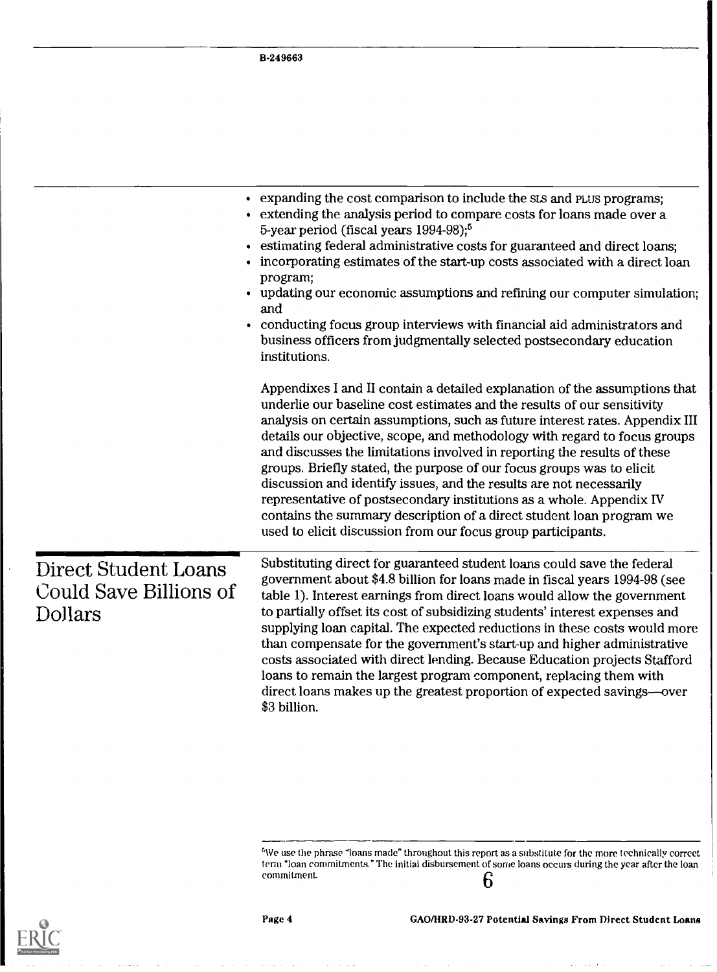B-249663

|                                                           | • expanding the cost comparison to include the SLS and PLUS programs;<br>• extending the analysis period to compare costs for loans made over a<br>5-year period (fiscal years 1994-98); <sup>5</sup><br>• estimating federal administrative costs for guaranteed and direct loans;<br>• incorporating estimates of the start-up costs associated with a direct loan<br>program;<br>• updating our economic assumptions and refining our computer simulation;<br>and<br>• conducting focus group interviews with financial aid administrators and<br>business officers from judgmentally selected postsecondary education<br>institutions.                                                                                                                     |
|-----------------------------------------------------------|----------------------------------------------------------------------------------------------------------------------------------------------------------------------------------------------------------------------------------------------------------------------------------------------------------------------------------------------------------------------------------------------------------------------------------------------------------------------------------------------------------------------------------------------------------------------------------------------------------------------------------------------------------------------------------------------------------------------------------------------------------------|
|                                                           | Appendixes I and II contain a detailed explanation of the assumptions that<br>underlie our baseline cost estimates and the results of our sensitivity<br>analysis on certain assumptions, such as future interest rates. Appendix III<br>details our objective, scope, and methodology with regard to focus groups<br>and discusses the limitations involved in reporting the results of these<br>groups. Briefly stated, the purpose of our focus groups was to elicit<br>discussion and identify issues, and the results are not necessarily<br>representative of postsecondary institutions as a whole. Appendix IV<br>contains the summary description of a direct student loan program we<br>used to elicit discussion from our focus group participants. |
| Direct Student Loans<br>Could Save Billions of<br>Dollars | Substituting direct for guaranteed student loans could save the federal<br>government about \$4.8 billion for loans made in fiscal years 1994-98 (see<br>table 1). Interest earnings from direct loans would allow the government<br>to partially offset its cost of subsidizing students' interest expenses and<br>supplying loan capital. The expected reductions in these costs would more<br>than compensate for the government's start-up and higher administrative<br>costs associated with direct lending. Because Education projects Stafford<br>loans to remain the largest program component, replacing them with<br>direct loans makes up the greatest proportion of expected savings—over<br>\$3 billion.                                          |

 $^5$ We use the phrase "loans made" throughout this report as a substitute for the more technically correct  $\hskip 10 pt$   $\hskip 10 pt$ term "loan commitments." The initial disbursement of some loans occurs during the year after the loan commitment. 6



 $\sim$  . . . . . .

 $\ddot{\phantom{0}}$ 

 $\overline{\phantom{a}}$ 

 $\sim$   $\sim$   $\sim$ 

للمنتقل والمتابعة

 $\frac{1}{2}$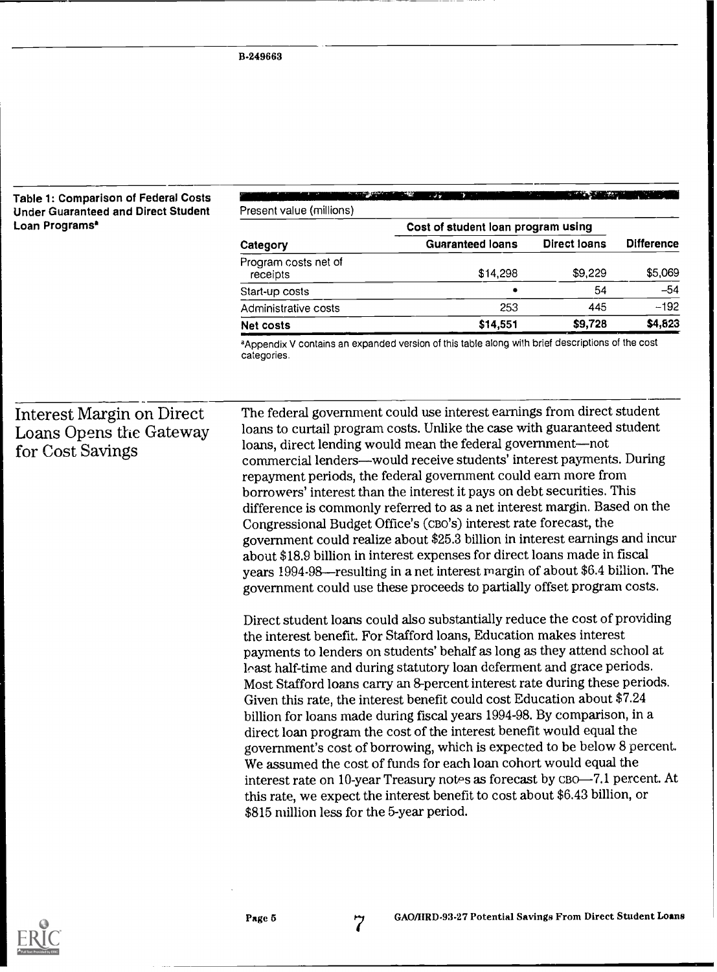### Table 1: Comparison of Federal Costs Under Guaranteed and Direct Student Loan Programs\*

| Present value (millions)         |                                    |                     |                   |
|----------------------------------|------------------------------------|---------------------|-------------------|
|                                  | Cost of student loan program using |                     |                   |
| Category                         | <b>Guaranteed loans</b>            | <b>Direct loans</b> | <b>Difference</b> |
| Program costs net of<br>receipts | \$14,298                           | \$9,229             | \$5,069           |
| Start-up costs                   |                                    | 54                  | $-54$             |
| Administrative costs             | 253                                | 445                 | $-192$            |
| <b>Net costs</b>                 | \$14,551                           | \$9,728             | \$4,623           |

aAppendix V contains an expanded version of this table along with brief descriptions of the cost categories.

## Interest Margin on Direct Loans Opens the Gateway for Cost Savings

The federal government could use interest earnings from direct student loans to curtail program costs. Unlike the case with guaranteed student loans, direct lending would mean the federal government-not commercial lenders—would receive students' interest payments. During repayment periods, the federal government could earn more from borrowers' interest than the interest it pays on debt securities. This difference is commonly referred to as a net interest margin. Based on the Congressional Budget Office's (cBo's) interest rate forecast, the government could realize about \$25.3 billion in interest earnings and incur about \$18.9 billion in interest expenses for direct loans made in fiscal years 1994-98—resulting in a net interest margin of about \$6.4 billion. The government could use these proceeds to partially offset program costs.

Direct student loans could also substantially reduce the cost of providing the interest benefit. For Stafford loans, Education makes interest payments to lenders on students' behalf as long as they attend school at loast half-time and during statutory loan deferment and grace periods. Most Stafford loans carry an 8-percent interest rate during these periods. Given this rate, the interest benefit could cost Education about \$7.24 billion for loans made during fiscal years 1994-98. By comparison, in a direct loan program the cost of the interest benefit would equal the government's cost of borrowing, which is expected to be below 8 percent. We assumed the cost of funds for each loan cohort would equal the interest rate on 10-year Treasury notes as forecast by CBO-7.1 percent. At this rate, we expect the interest benefit to cost about \$6.43 billion, or \$815 million less for the 5-year period.



Page 5 7 GAO/HRD-92 GAO/IIRD-93.27 Potential Savings From Direct Student Loans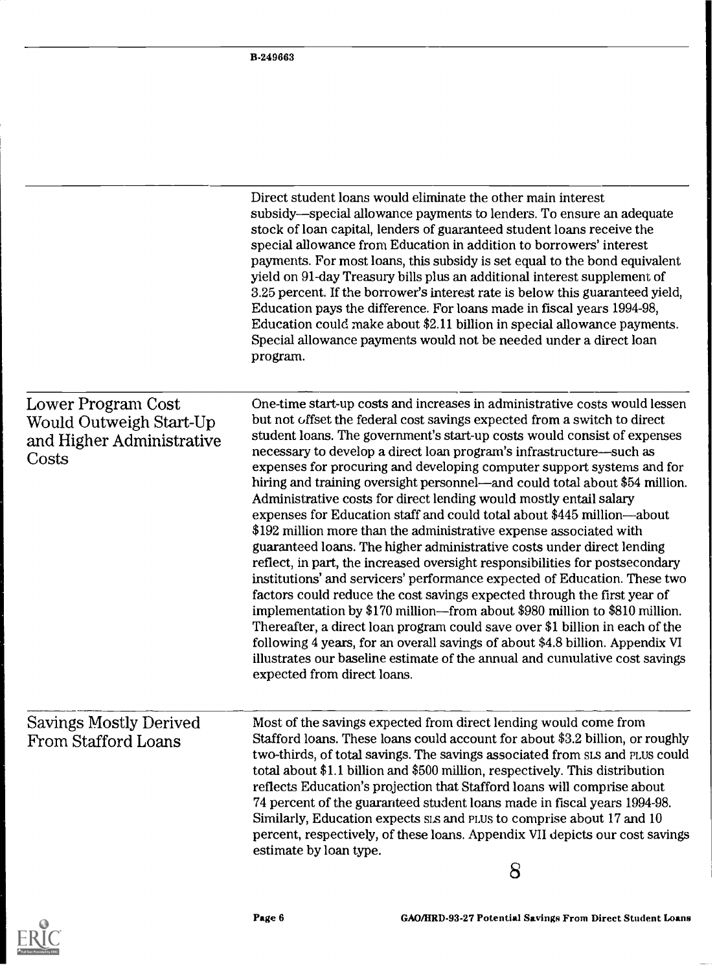|                                                                                     | Direct student loans would eliminate the other main interest<br>subsidy—special allowance payments to lenders. To ensure an adequate<br>stock of loan capital, lenders of guaranteed student loans receive the<br>special allowance from Education in addition to borrowers' interest<br>payments. For most loans, this subsidy is set equal to the bond equivalent<br>yield on 91-day Treasury bills plus an additional interest supplement of<br>3.25 percent. If the borrower's interest rate is below this guaranteed yield,<br>Education pays the difference. For loans made in fiscal years 1994-98,<br>Education could make about \$2.11 billion in special allowance payments.<br>Special allowance payments would not be needed under a direct loan<br>program.                                                                                                                                                                                                                                                                                                                                                                                                                                                                                                                                                                                                 |  |
|-------------------------------------------------------------------------------------|--------------------------------------------------------------------------------------------------------------------------------------------------------------------------------------------------------------------------------------------------------------------------------------------------------------------------------------------------------------------------------------------------------------------------------------------------------------------------------------------------------------------------------------------------------------------------------------------------------------------------------------------------------------------------------------------------------------------------------------------------------------------------------------------------------------------------------------------------------------------------------------------------------------------------------------------------------------------------------------------------------------------------------------------------------------------------------------------------------------------------------------------------------------------------------------------------------------------------------------------------------------------------------------------------------------------------------------------------------------------------|--|
| Lower Program Cost<br>Would Outweigh Start-Up<br>and Higher Administrative<br>Costs | One-time start-up costs and increases in administrative costs would lessen<br>but not offset the federal cost savings expected from a switch to direct<br>student loans. The government's start-up costs would consist of expenses<br>necessary to develop a direct loan program's infrastructure—such as<br>expenses for procuring and developing computer support systems and for<br>hiring and training oversight personnel—and could total about \$54 million.<br>Administrative costs for direct lending would mostly entail salary<br>expenses for Education staff and could total about \$445 million-about<br>\$192 million more than the administrative expense associated with<br>guaranteed loans. The higher administrative costs under direct lending<br>reflect, in part, the increased oversight responsibilities for postsecondary<br>institutions' and servicers' performance expected of Education. These two<br>factors could reduce the cost savings expected through the first year of<br>implementation by \$170 million—from about \$980 million to \$810 million.<br>Thereafter, a direct loan program could save over \$1 billion in each of the<br>following 4 years, for an overall savings of about \$4.8 billion. Appendix VI<br>illustrates our baseline estimate of the annual and cumulative cost savings<br>expected from direct loans. |  |
| <b>Savings Mostly Derived</b><br>From Stafford Loans                                | Most of the savings expected from direct lending would come from<br>Stafford loans. These loans could account for about \$3.2 billion, or roughly<br>two-thirds, of total savings. The savings associated from sts and PLUS could<br>total about \$1.1 billion and \$500 million, respectively. This distribution<br>reflects Education's projection that Stafford loans will comprise about<br>74 percent of the guaranteed student loans made in fiscal years 1994-98.<br>Similarly, Education expects sis and PLUs to comprise about 17 and 10<br>percent, respectively, of these loans. Appendix VII depicts our cost savings<br>estimate by loan type.                                                                                                                                                                                                                                                                                                                                                                                                                                                                                                                                                                                                                                                                                                              |  |
|                                                                                     | 8                                                                                                                                                                                                                                                                                                                                                                                                                                                                                                                                                                                                                                                                                                                                                                                                                                                                                                                                                                                                                                                                                                                                                                                                                                                                                                                                                                        |  |

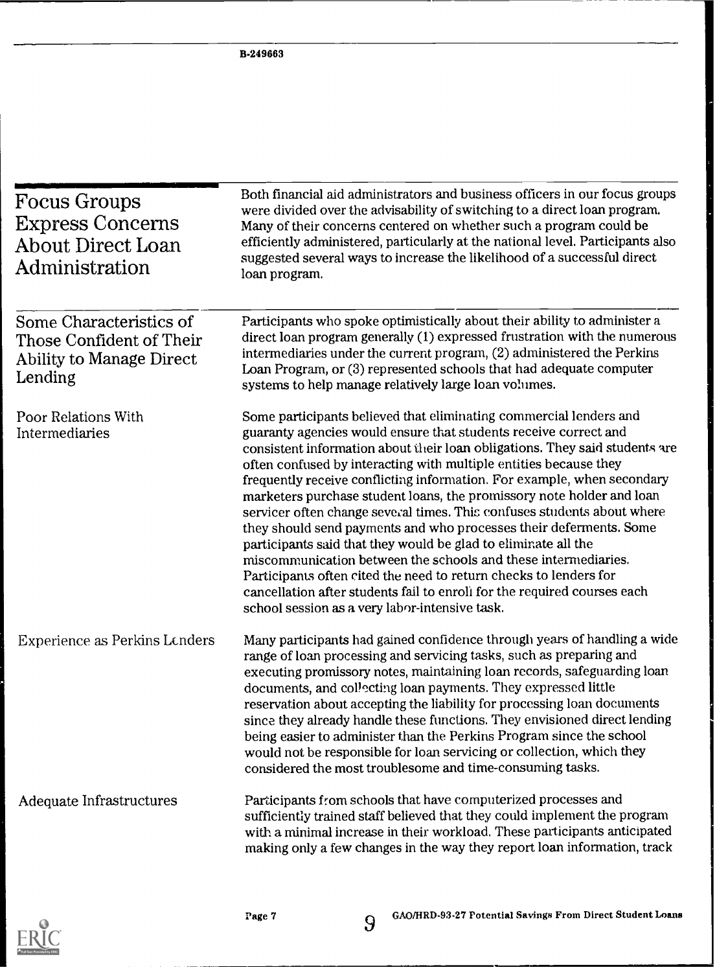| <b>Focus Groups</b><br><b>Express Concerns</b><br>About Direct Loan<br>Administration                                                                                                                                                                                                                                                                                                                                                                                                                                                                                                                                                                                                                      | Both financial aid administrators and business officers in our focus groups<br>were divided over the advisability of switching to a direct loan program.<br>Many of their concerns centered on whether such a program could be<br>efficiently administered, particularly at the national level. Participants also<br>suggested several ways to increase the likelihood of a successful direct<br>loan program.                                                                                                                                                                                                                                                                                                                                                                                                                                                                                                                         |
|------------------------------------------------------------------------------------------------------------------------------------------------------------------------------------------------------------------------------------------------------------------------------------------------------------------------------------------------------------------------------------------------------------------------------------------------------------------------------------------------------------------------------------------------------------------------------------------------------------------------------------------------------------------------------------------------------------|----------------------------------------------------------------------------------------------------------------------------------------------------------------------------------------------------------------------------------------------------------------------------------------------------------------------------------------------------------------------------------------------------------------------------------------------------------------------------------------------------------------------------------------------------------------------------------------------------------------------------------------------------------------------------------------------------------------------------------------------------------------------------------------------------------------------------------------------------------------------------------------------------------------------------------------|
| Some Characteristics of<br>Those Confident of Their<br>Ability to Manage Direct<br>Lending                                                                                                                                                                                                                                                                                                                                                                                                                                                                                                                                                                                                                 | Participants who spoke optimistically about their ability to administer a<br>direct loan program generally (1) expressed frustration with the numerous<br>intermediaries under the current program, (2) administered the Perkins<br>Loan Program, or (3) represented schools that had adequate computer<br>systems to help manage relatively large loan volumes.                                                                                                                                                                                                                                                                                                                                                                                                                                                                                                                                                                       |
| Poor Relations With<br>Intermediaries                                                                                                                                                                                                                                                                                                                                                                                                                                                                                                                                                                                                                                                                      | Some participants believed that eliminating commercial lenders and<br>guaranty agencies would ensure that students receive correct and<br>consistent information about their loan obligations. They said students are<br>often confused by interacting with multiple entities because they<br>frequently receive conflicting information. For example, when secondary<br>marketers purchase student loans, the promissory note holder and loan<br>servicer often change several times. This confuses students about where<br>they should send payments and who processes their deferments. Some<br>participants said that they would be glad to eliminate all the<br>miscommunication between the schools and these intermediaries.<br>Participants often cited the need to return checks to lenders for<br>cancellation after students fail to enroli for the required courses each<br>school session as a very labor-intensive task. |
| Many participants had gained confidence through years of handling a wide<br><b>Experience as Perkins Lenders</b><br>range of loan processing and servicing tasks, such as preparing and<br>executing promissory notes, maintaining loan records, safeguarding loan<br>documents, and collecting loan payments. They expressed little<br>reservation about accepting the liability for processing loan documents<br>since they already handle these functions. They envisioned direct lending<br>being easier to administer than the Perkins Program since the school<br>would not be responsible for loan servicing or collection, which they<br>considered the most troublesome and time-consuming tasks. |                                                                                                                                                                                                                                                                                                                                                                                                                                                                                                                                                                                                                                                                                                                                                                                                                                                                                                                                        |
| Adequate Infrastructures                                                                                                                                                                                                                                                                                                                                                                                                                                                                                                                                                                                                                                                                                   | Participants from schools that have computerized processes and<br>sufficiently trained staff believed that they could implement the program<br>with a minimal increase in their workload. These participants anticipated<br>making only a few changes in the way they report loan information, track                                                                                                                                                                                                                                                                                                                                                                                                                                                                                                                                                                                                                                   |

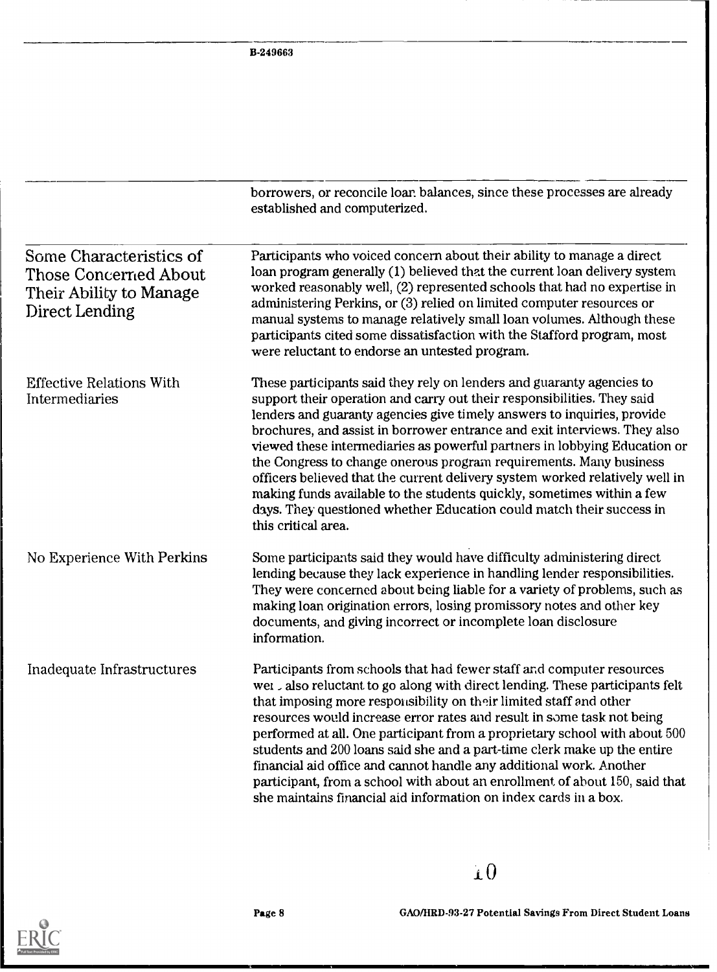|                                                                                                      | borrowers, or reconcile loar balances, since these processes are already<br>established and computerized.                                                                                                                                                                                                                                                                                                                                                                                                                                                                                                                                                                                                            |  |
|------------------------------------------------------------------------------------------------------|----------------------------------------------------------------------------------------------------------------------------------------------------------------------------------------------------------------------------------------------------------------------------------------------------------------------------------------------------------------------------------------------------------------------------------------------------------------------------------------------------------------------------------------------------------------------------------------------------------------------------------------------------------------------------------------------------------------------|--|
| Some Characteristics of<br><b>Those Concerned About</b><br>Their Ability to Manage<br>Direct Lending | Participants who voiced concern about their ability to manage a direct<br>loan program generally (1) believed that the current loan delivery system<br>worked reasonably well, (2) represented schools that had no expertise in<br>administering Perkins, or (3) relied on limited computer resources or<br>manual systems to manage relatively small loan volumes. Although these<br>participants cited some dissatisfaction with the Stafford program, most<br>were reluctant to endorse an untested program.                                                                                                                                                                                                      |  |
| <b>Effective Relations With</b><br>Intermediaries                                                    | These participants said they rely on lenders and guaranty agencies to<br>support their operation and carry out their responsibilities. They said<br>lenders and guaranty agencies give timely answers to inquiries, provide<br>brochures, and assist in borrower entrance and exit interviews. They also<br>viewed these intermediaries as powerful partners in lobbying Education or<br>the Congress to change onerous program requirements. Many business<br>officers believed that the current delivery system worked relatively well in<br>making funds available to the students quickly, sometimes within a few<br>days. They questioned whether Education could match their success in<br>this critical area. |  |
| No Experience With Perkins                                                                           | Some participants said they would have difficulty administering direct<br>lending because they lack experience in handling lender responsibilities.<br>They were concerned about being liable for a variety of problems, such as<br>making loan origination errors, losing promissory notes and other key<br>documents, and giving incorrect or incomplete loan disclosure<br>information.                                                                                                                                                                                                                                                                                                                           |  |
| Inadequate Infrastructures                                                                           | Participants from schools that had fewer staff and computer resources<br>wet also reluctant to go along with direct lending. These participants felt<br>that imposing more responsibility on their limited staff and other<br>resources would increase error rates and result in some task not being<br>performed at all. One participant from a proprietary school with about 500<br>students and 200 loans said she and a part-time clerk make up the entire<br>financial aid office and cannot handle any additional work. Another<br>participant, from a school with about an enrollment of about 150, said that<br>she maintains financial aid information on index cards in a box.                             |  |

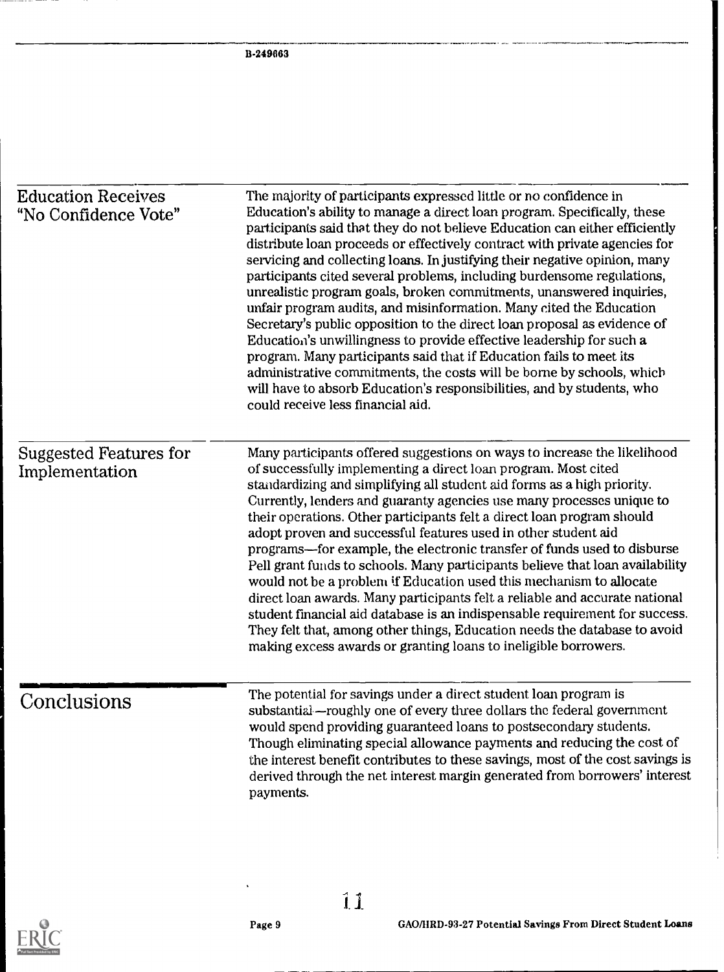| <b>Education Receives</b><br>"No Confidence Vote" | The majority of participants expressed little or no confidence in<br>Education's ability to manage a direct loan program. Specifically, these<br>participants said that they do not believe Education can either efficiently<br>distribute loan proceeds or effectively contract with private agencies for<br>servicing and collecting loans. In justifying their negative opinion, many<br>participants cited several problems, including burdensome regulations,<br>unrealistic program goals, broken commitments, unanswered inquiries,<br>unfair program audits, and misinformation. Many cited the Education<br>Secretary's public opposition to the direct loan proposal as evidence of<br>Education's unwillingness to provide effective leadership for such a<br>program. Many participants said that if Education fails to meet its<br>administrative commitments, the costs will be borne by schools, which                                                                                                                                                                                      |  |
|---------------------------------------------------|------------------------------------------------------------------------------------------------------------------------------------------------------------------------------------------------------------------------------------------------------------------------------------------------------------------------------------------------------------------------------------------------------------------------------------------------------------------------------------------------------------------------------------------------------------------------------------------------------------------------------------------------------------------------------------------------------------------------------------------------------------------------------------------------------------------------------------------------------------------------------------------------------------------------------------------------------------------------------------------------------------------------------------------------------------------------------------------------------------|--|
| <b>Suggested Features for</b><br>Implementation   | will have to absorb Education's responsibilities, and by students, who<br>could receive less financial aid.<br>Many participants offered suggestions on ways to increase the likelihood<br>of successfully implementing a direct loan program. Most cited<br>standardizing and simplifying all student aid forms as a high priority.<br>Currently, lenders and guaranty agencies use many processes unique to<br>their operations. Other participants felt a direct loan program should<br>adopt proven and successful features used in other student aid<br>programs—for example, the electronic transfer of funds used to disburse<br>Pell grant funds to schools. Many participants believe that loan availability<br>would not be a problem if Education used this mechanism to allocate<br>direct loan awards. Many participants felt a reliable and accurate national<br>student financial aid database is an indispensable requirement for success.<br>They felt that, among other things, Education needs the database to avoid<br>making excess awards or granting loans to ineligible borrowers. |  |
| Conclusions                                       | The potential for savings under a direct student loan program is<br>substantial—roughly one of every three dollars the federal government<br>would spend providing guaranteed loans to postsecondary students.<br>Though eliminating special allowance payments and reducing the cost of<br>the interest benefit contributes to these savings, most of the cost savings is<br>derived through the net interest margin generated from borrowers' interest<br>payments.                                                                                                                                                                                                                                                                                                                                                                                                                                                                                                                                                                                                                                      |  |

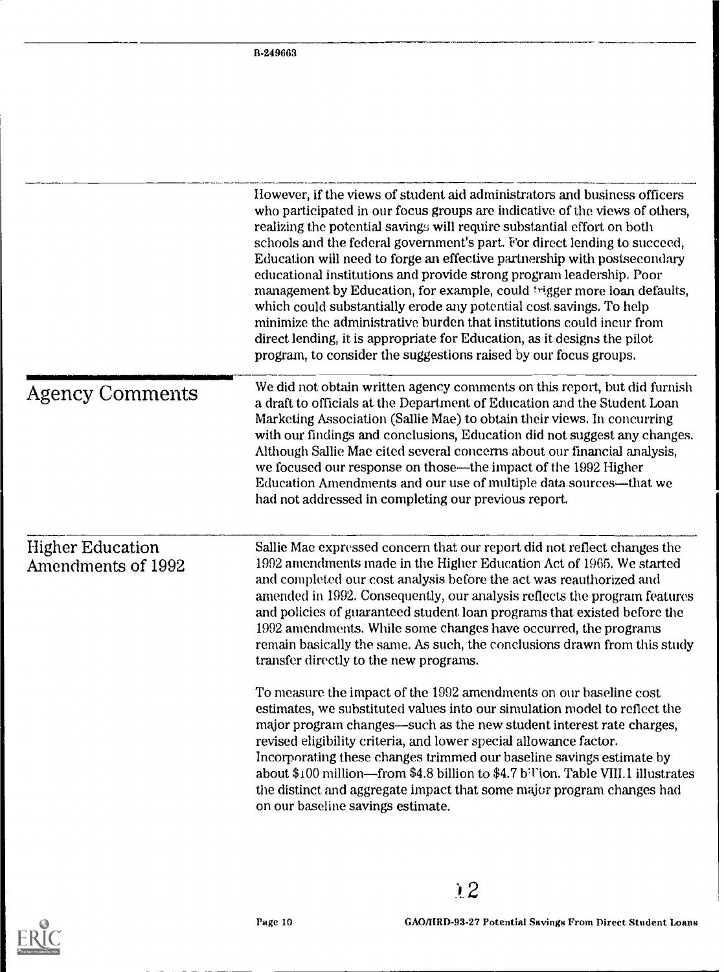|                                                                                                                                                                                                                                                                                                                                                                                                                                                                                                                                                                                                                    | However, if the views of student aid administrators and business officers<br>who participated in our focus groups are indicative of the views of others,<br>realizing the potential savings will require substantial effort on both<br>schools and the federal government's part. For direct lending to succeed,<br>Education will need to forge an effective partnership with postsecondary<br>educational institutions and provide strong program leadership. Poor<br>management by Education, for example, could trigger more loan defaults,<br>which could substantially erode any potential cost savings. To help<br>minimize the administrative burden that institutions could incur from<br>direct lending, it is appropriate for Education, as it designs the pilot<br>program, to consider the suggestions raised by our focus groups. |  |
|--------------------------------------------------------------------------------------------------------------------------------------------------------------------------------------------------------------------------------------------------------------------------------------------------------------------------------------------------------------------------------------------------------------------------------------------------------------------------------------------------------------------------------------------------------------------------------------------------------------------|-------------------------------------------------------------------------------------------------------------------------------------------------------------------------------------------------------------------------------------------------------------------------------------------------------------------------------------------------------------------------------------------------------------------------------------------------------------------------------------------------------------------------------------------------------------------------------------------------------------------------------------------------------------------------------------------------------------------------------------------------------------------------------------------------------------------------------------------------|--|
| We did not obtain written agency comments on this report, but did furnish<br><b>Agency Comments</b><br>a draft to officials at the Department of Education and the Student Loan<br>Marketing Association (Sallie Mae) to obtain their views. In concurring<br>with our findings and conclusions, Education did not suggest any changes.<br>Although Sallie Mae cited several concerns about our financial analysis,<br>we focused our response on those—the impact of the 1992 Higher<br>Education Amendments and our use of multiple data sources—that we<br>had not addressed in completing our previous report. |                                                                                                                                                                                                                                                                                                                                                                                                                                                                                                                                                                                                                                                                                                                                                                                                                                                 |  |
| <b>Higher Education</b><br>Amendments of 1992                                                                                                                                                                                                                                                                                                                                                                                                                                                                                                                                                                      | Sallie Mae expressed concern that our report did not reflect changes the<br>1992 amendments made in the Higher Education Act of 1965. We started<br>and completed our cost analysis before the act was reauthorized and<br>amended in 1992. Consequently, our analysis reflects the program features<br>and policies of guaranteed student loan programs that existed before the<br>1992 amendments. While some changes have occurred, the programs<br>remain basically the same. As such, the conclusions drawn from this study<br>transfer directly to the new programs.                                                                                                                                                                                                                                                                      |  |
|                                                                                                                                                                                                                                                                                                                                                                                                                                                                                                                                                                                                                    | To measure the impact of the 1992 amendments on our baseline cost<br>estimates, we substituted values into our simulation model to reflect the<br>major program changes—such as the new student interest rate charges,<br>revised eligibility criteria, and lower special allowance factor.<br>Incorporating these changes trimmed our baseline savings estimate by<br>about \$100 million—from \$4.8 billion to \$4.7 b <sup>-</sup> Tion. Table VIII.1 illustrates<br>the distinct and aggregate impact that some major program changes had<br>on our baseline savings estimate.                                                                                                                                                                                                                                                              |  |

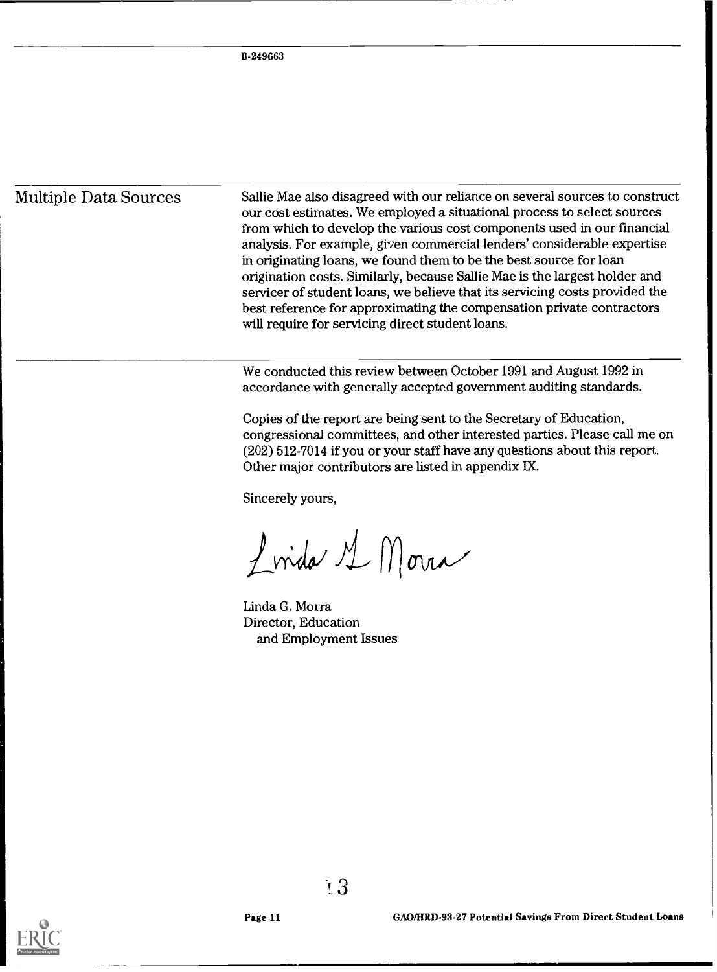Multiple Data Sources Sallie Mae also disagreed with our reliance on several sources to construct our cost estimates. We employed a situational process to select sources from which to develop the various cost components used in our financial analysis. For example, given commercial lenders' considerable expertise in originating loans, we found them to be the best source for loan origination costs. Similarly, because Sallie Mae is the largest holder and servicer of student loans, we believe that its servicing costs provided the best reference for approximating the compensation private contractors will require for servicing direct student loans.

> We conducted this review between October <sup>1991</sup> and August 1992 in accordance with generally accepted government auditing standards.

Copies of the report are being sent to the Secretary of Education, congressional committees, and other interested parties. Please call me on (202) 512-7014 if you or your staff have any questions about this report. Other major contributors are listed in appendix IX.

Sincerely yours,

Linda M Morra

Linda G. Morra Director, Education and Employment Issues

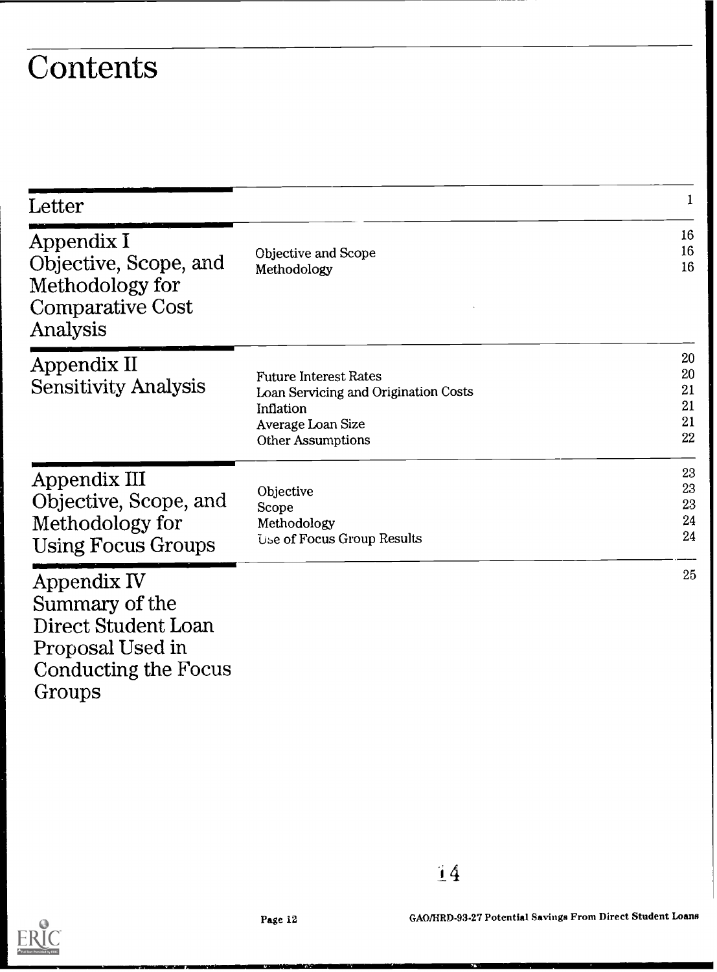# **Contents**

|                                                                                                                                    | 1                                |
|------------------------------------------------------------------------------------------------------------------------------------|----------------------------------|
| Objective and Scope<br>Methodology                                                                                                 | 16<br>16<br>16                   |
| <b>Future Interest Rates</b><br>Loan Servicing and Origination Costs<br>Inflation<br>Average Loan Size<br><b>Other Assumptions</b> | 20<br>20<br>21<br>21<br>21<br>22 |
| Objective<br>Scope<br>Methodology<br>Use of Focus Group Results                                                                    | 23<br>23<br>23<br>24<br>24       |
|                                                                                                                                    | 25                               |
|                                                                                                                                    |                                  |

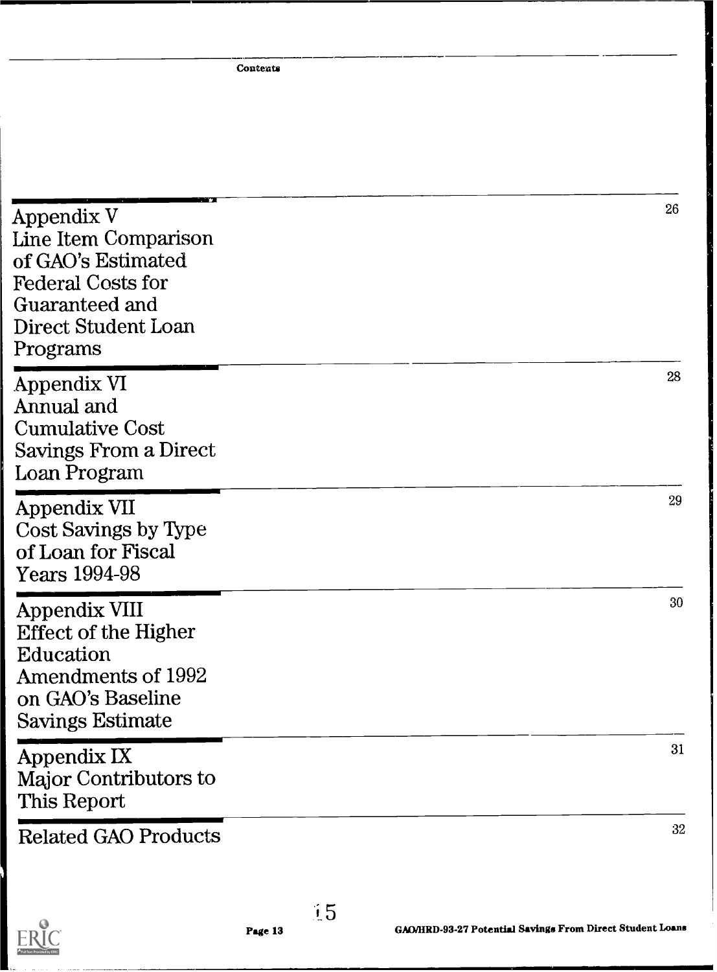**Contents** 

| Appendix V<br>Line Item Comparison<br>of GAO's Estimated<br><b>Federal Costs for</b><br>Guaranteed and<br>Direct Student Loan<br>Programs     |         | 26 |
|-----------------------------------------------------------------------------------------------------------------------------------------------|---------|----|
| Appendix VI<br>Annual and<br><b>Cumulative Cost</b><br>Savings From a Direct<br>Loan Program                                                  |         | 28 |
| Appendix VII<br>Cost Savings by Type<br>of Loan for Fiscal<br>Years 1994-98                                                                   |         | 29 |
| <b>Appendix VIII</b><br><b>Effect of the Higher</b><br>Education<br><b>Amendments of 1992</b><br>on GAO's Baseline<br><b>Savings Estimate</b> |         | 30 |
| Appendix IX<br>Major Contributors to<br>This Report                                                                                           |         | 31 |
| <b>Related GAO Products</b>                                                                                                                   |         | 32 |
|                                                                                                                                               | $\pm 5$ |    |



GAMIRD-93-27 Potential Savings From Direct Student Loans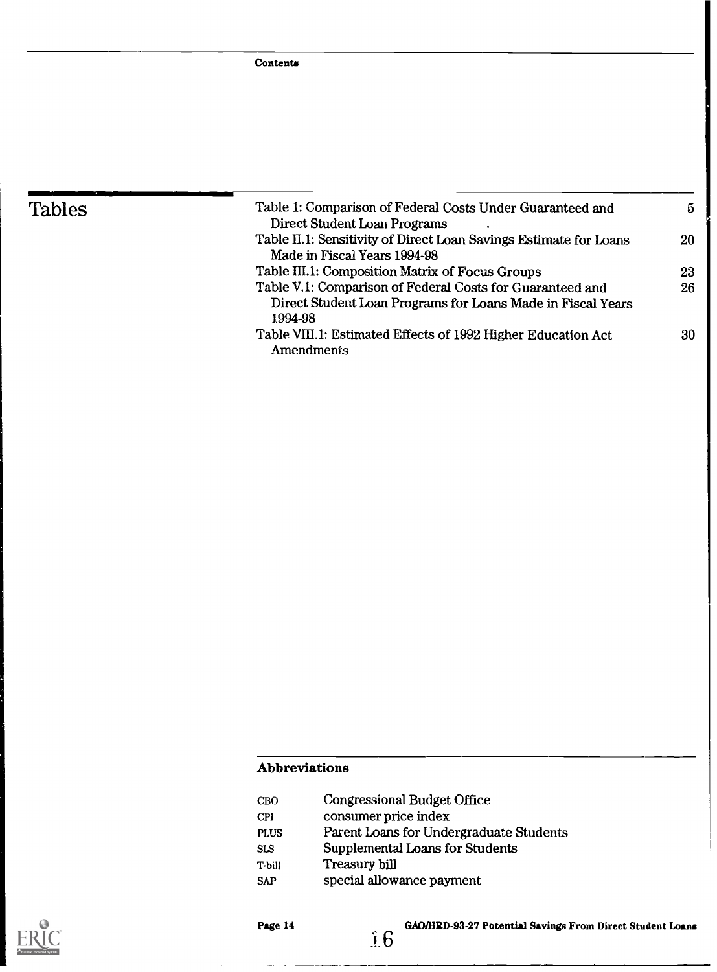| Tables | Table 1: Comparison of Federal Costs Under Guaranteed and         | $\mathbf{5}$ |
|--------|-------------------------------------------------------------------|--------------|
|        | Direct Student Loan Programs                                      |              |
|        | Table II.1: Sensitivity of Direct Loan Savings Estimate for Loans | 20           |
|        | Made in Fiscal Years 1994-98                                      |              |
|        | Table III.1: Composition Matrix of Focus Groups                   | 23           |
|        | Table V.1: Comparison of Federal Costs for Guaranteed and         | 26           |
|        | Direct Student Loan Programs for Loans Made in Fiscal Years       |              |
|        | 1994-98                                                           |              |
|        | Table VIII.1: Estimated Effects of 1992 Higher Education Act      | 30           |
|        | Amendments                                                        |              |
|        |                                                                   |              |

## Abbreviations

| CBO         | <b>Congressional Budget Office</b>      |
|-------------|-----------------------------------------|
| CPI         | consumer price index                    |
| <b>PLUS</b> | Parent Loans for Undergraduate Students |
| <b>SLS</b>  | Supplemental Loans for Students         |
| T-bill      | Treasury bill                           |
| <b>SAP</b>  | special allowance payment               |



Page 14

GAO/HRD-93.27 Potential Savings From Direct Student Loans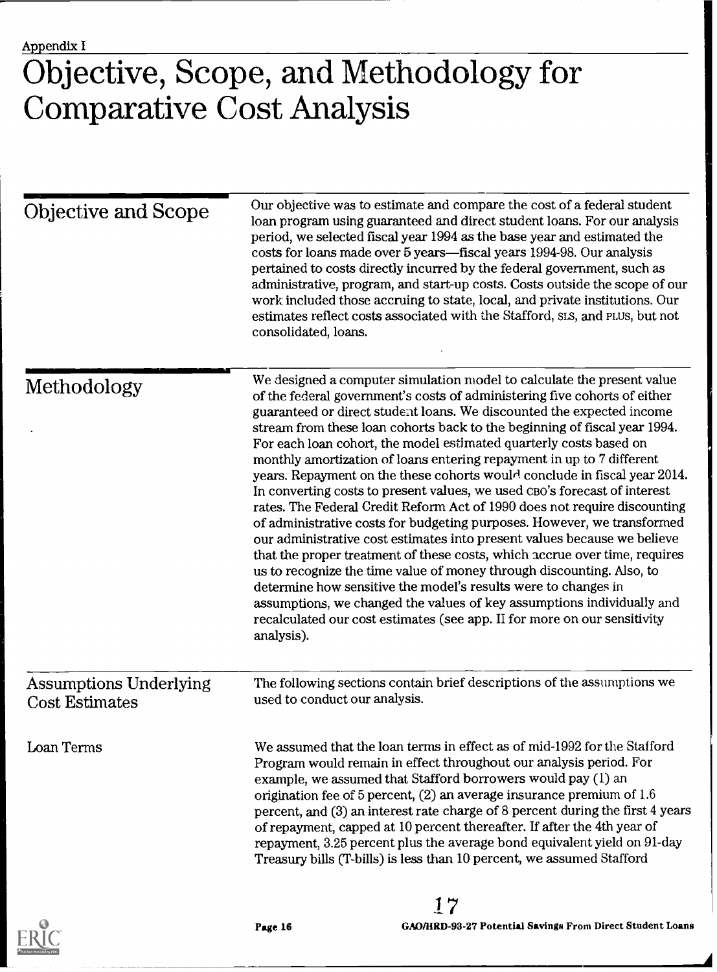# Objective, Scope, and Methodology for Comparative Cost Analysis

| Objective and Scope                                    | Our objective was to estimate and compare the cost of a federal student<br>loan program using guaranteed and direct student loans. For our analysis<br>period, we selected fiscal year 1994 as the base year and estimated the<br>costs for loans made over 5 years—fiscal years 1994-98. Our analysis<br>pertained to costs directly incurred by the federal government, such as<br>administrative, program, and start-up costs. Costs outside the scope of our<br>work included those accruing to state, local, and private institutions. Our<br>estimates reflect costs associated with the Stafford, SLS, and PLUS, but not<br>consolidated, loans.                                                                                                                                                                                                                                                                                                                                                                                                                                                                                                                                                                                             |
|--------------------------------------------------------|-----------------------------------------------------------------------------------------------------------------------------------------------------------------------------------------------------------------------------------------------------------------------------------------------------------------------------------------------------------------------------------------------------------------------------------------------------------------------------------------------------------------------------------------------------------------------------------------------------------------------------------------------------------------------------------------------------------------------------------------------------------------------------------------------------------------------------------------------------------------------------------------------------------------------------------------------------------------------------------------------------------------------------------------------------------------------------------------------------------------------------------------------------------------------------------------------------------------------------------------------------|
| Methodology                                            | We designed a computer simulation model to calculate the present value<br>of the federal government's costs of administering five cohorts of either<br>guaranteed or direct student loans. We discounted the expected income<br>stream from these loan cohorts back to the beginning of fiscal year 1994.<br>For each loan cohort, the model estimated quarterly costs based on<br>monthly amortization of loans entering repayment in up to 7 different<br>years. Repayment on the these cohorts would conclude in fiscal year 2014.<br>In converting costs to present values, we used CBO's forecast of interest<br>rates. The Federal Credit Reform Act of 1990 does not require discounting<br>of administrative costs for budgeting purposes. However, we transformed<br>our administrative cost estimates into present values because we believe<br>that the proper treatment of these costs, which accrue over time, requires<br>us to recognize the time value of money through discounting. Also, to<br>determine how sensitive the model's results were to changes in<br>assumptions, we changed the values of key assumptions individually and<br>recalculated our cost estimates (see app. II for more on our sensitivity<br>analysis). |
| <b>Assumptions Underlying</b><br><b>Cost Estimates</b> | The following sections contain brief descriptions of the assumptions we<br>used to conduct our analysis.                                                                                                                                                                                                                                                                                                                                                                                                                                                                                                                                                                                                                                                                                                                                                                                                                                                                                                                                                                                                                                                                                                                                            |
| Loan Terms                                             | We assumed that the loan terms in effect as of mid-1992 for the Stafford<br>Program would remain in effect throughout our analysis period. For<br>example, we assumed that Stafford borrowers would pay (1) an<br>origination fee of 5 percent, (2) an average insurance premium of 1.6<br>percent, and (3) an interest rate charge of 8 percent during the first 4 years<br>of repayment, capped at 10 percent thereafter. If after the 4th year of<br>repayment, 3.25 percent plus the average bond equivalent yield on 91-day<br>Treasury bills (T-bills) is less than 10 percent, we assumed Stafford                                                                                                                                                                                                                                                                                                                                                                                                                                                                                                                                                                                                                                           |
|                                                        |                                                                                                                                                                                                                                                                                                                                                                                                                                                                                                                                                                                                                                                                                                                                                                                                                                                                                                                                                                                                                                                                                                                                                                                                                                                     |

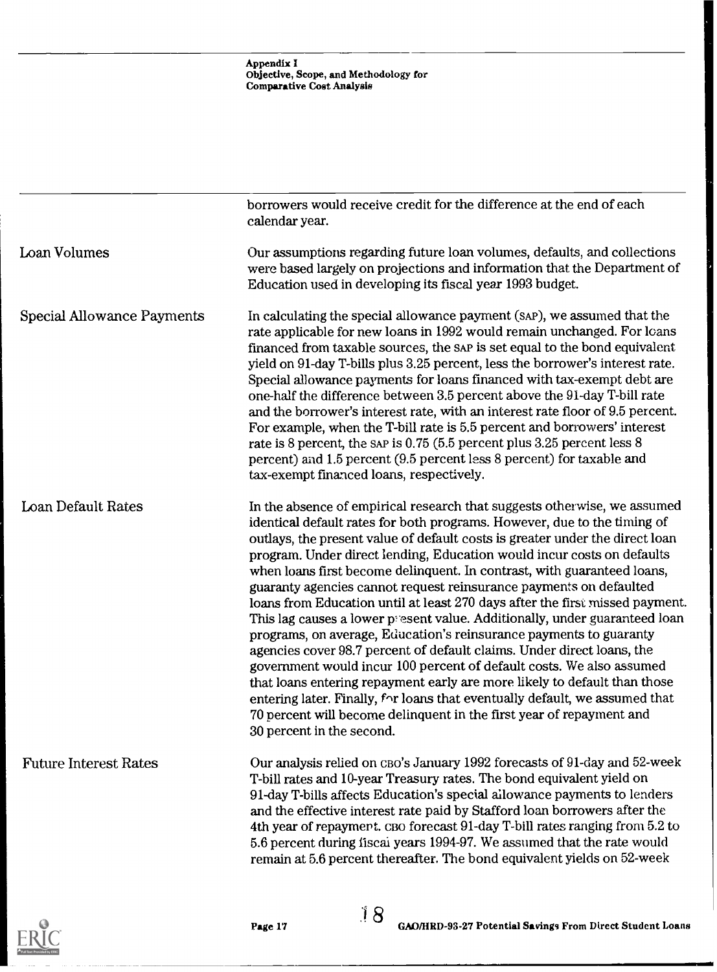|                                   | borrowers would receive credit for the difference at the end of each                                                                                                                                                                                                                                                                                                                                                                                                                                                                                                                                                                                                                                                                                                                                                                                                                                                                                                                                                                                                                                                   |
|-----------------------------------|------------------------------------------------------------------------------------------------------------------------------------------------------------------------------------------------------------------------------------------------------------------------------------------------------------------------------------------------------------------------------------------------------------------------------------------------------------------------------------------------------------------------------------------------------------------------------------------------------------------------------------------------------------------------------------------------------------------------------------------------------------------------------------------------------------------------------------------------------------------------------------------------------------------------------------------------------------------------------------------------------------------------------------------------------------------------------------------------------------------------|
|                                   | calendar year.                                                                                                                                                                                                                                                                                                                                                                                                                                                                                                                                                                                                                                                                                                                                                                                                                                                                                                                                                                                                                                                                                                         |
| Loan Volumes                      | Our assumptions regarding future loan volumes, defaults, and collections<br>were based largely on projections and information that the Department of<br>Education used in developing its fiscal year 1993 budget.                                                                                                                                                                                                                                                                                                                                                                                                                                                                                                                                                                                                                                                                                                                                                                                                                                                                                                      |
| <b>Special Allowance Payments</b> | In calculating the special allowance payment (SAP), we assumed that the<br>rate applicable for new loans in 1992 would remain unchanged. For loans<br>financed from taxable sources, the SAP is set equal to the bond equivalent<br>yield on 91-day T-bills plus 3.25 percent, less the borrower's interest rate.<br>Special allowance payments for loans financed with tax-exempt debt are<br>one-half the difference between 3.5 percent above the 91-day T-bill rate<br>and the borrower's interest rate, with an interest rate floor of 9.5 percent.<br>For example, when the T-bill rate is 5.5 percent and borrowers' interest<br>rate is 8 percent, the sap is 0.75 (5.5 percent plus 3.25 percent less 8<br>percent) and 1.5 percent (9.5 percent less 8 percent) for taxable and<br>tax-exempt financed loans, respectively.                                                                                                                                                                                                                                                                                  |
| Loan Default Rates                | In the absence of empirical research that suggests otherwise, we assumed<br>identical default rates for both programs. However, due to the timing of<br>outlays, the present value of default costs is greater under the direct loan<br>program. Under direct lending, Education would incur costs on defaults<br>when loans first become delinquent. In contrast, with guaranteed loans,<br>guaranty agencies cannot request reinsurance payments on defaulted<br>loans from Education until at least 270 days after the first missed payment.<br>This lag causes a lower present value. Additionally, under guaranteed loan<br>programs, on average, Education's reinsurance payments to guaranty<br>agencies cover 98.7 percent of default claims. Under direct loans, the<br>government would incur 100 percent of default costs. We also assumed<br>that loans entering repayment early are more likely to default than those<br>entering later. Finally, for loans that eventually default, we assumed that<br>70 percent will become delinquent in the first year of repayment and<br>30 percent in the second. |
| <b>Future Interest Rates</b>      | Our analysis relied on CBO's January 1992 forecasts of 91-day and 52-week<br>T-bill rates and 10-year Treasury rates. The bond equivalent yield on<br>91-day T-bills affects Education's special allowance payments to lenders<br>and the effective interest rate paid by Stafford loan borrowers after the<br>4th year of repayment. CBO forecast 91-day T-bill rates ranging from 5.2 to<br>5.6 percent during fiscal years 1994-97. We assumed that the rate would<br>remain at 5.6 percent thereafter. The bond equivalent yields on 52-week                                                                                                                                                                                                                                                                                                                                                                                                                                                                                                                                                                       |

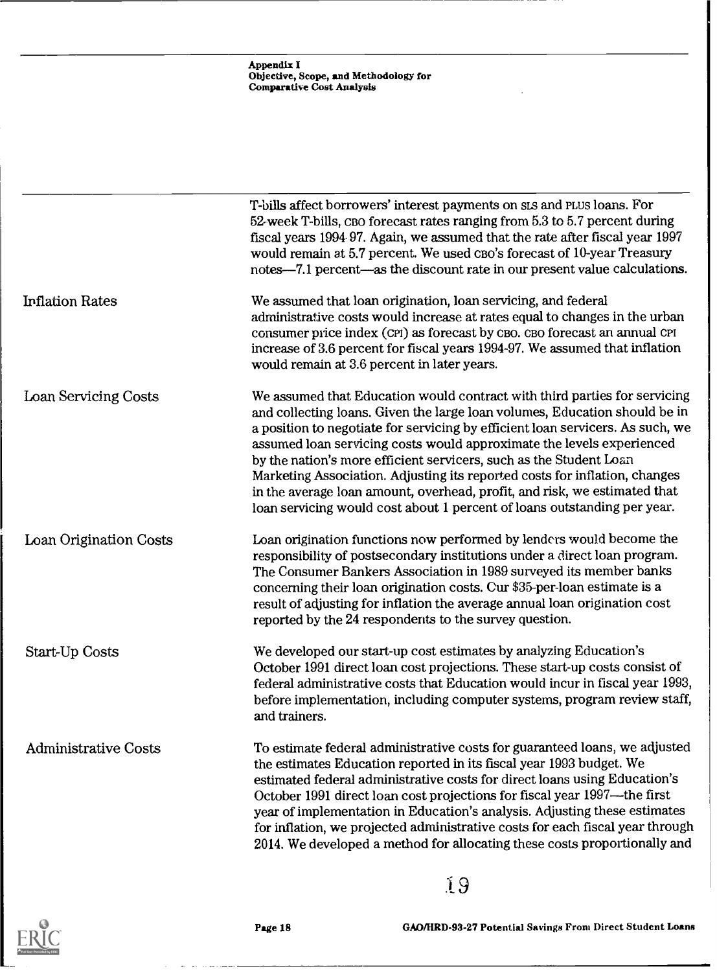|                             | Appendix I<br>Objective, Scope, and Methodology for<br><b>Comparative Cost Analysis</b>                                                                                                                                                                                                                                                                                                                                                                                                                                                                                                                                         |
|-----------------------------|---------------------------------------------------------------------------------------------------------------------------------------------------------------------------------------------------------------------------------------------------------------------------------------------------------------------------------------------------------------------------------------------------------------------------------------------------------------------------------------------------------------------------------------------------------------------------------------------------------------------------------|
|                             |                                                                                                                                                                                                                                                                                                                                                                                                                                                                                                                                                                                                                                 |
|                             | T-bills affect borrowers' interest payments on sis and PLUS loans. For<br>52-week T-bills, CBO forecast rates ranging from 5.3 to 5.7 percent during<br>fiscal years 1994 97. Again, we assumed that the rate after fiscal year 1997<br>would remain at 5.7 percent. We used CBO's forecast of 10-year Treasury<br>notes—7.1 percent—as the discount rate in our present value calculations.                                                                                                                                                                                                                                    |
| <b>Inflation Rates</b>      | We assumed that loan origination, loan servicing, and federal<br>administrative costs would increase at rates equal to changes in the urban<br>consumer price index (CPI) as forecast by CBO. CBO forecast an annual CPI<br>increase of 3.6 percent for fiscal years 1994-97. We assumed that inflation<br>would remain at 3.6 percent in later years.                                                                                                                                                                                                                                                                          |
| Loan Servicing Costs        | We assumed that Education would contract with third parties for servicing<br>and collecting loans. Given the large loan volumes, Education should be in<br>a position to negotiate for servicing by efficient loan servicers. As such, we<br>assumed loan servicing costs would approximate the levels experienced<br>by the nation's more efficient servicers, such as the Student Loan<br>Marketing Association. Adjusting its reported costs for inflation, changes<br>in the average loan amount, overhead, profit, and risk, we estimated that<br>loan servicing would cost about 1 percent of loans outstanding per year. |
| Loan Origination Costs      | Loan origination functions now performed by lenders would become the<br>responsibility of postsecondary institutions under a direct loan program.<br>The Consumer Bankers Association in 1989 surveyed its member banks<br>concerning their loan origination costs. Cur \$35-per-loan estimate is a<br>result of adjusting for inflation the average annual loan origination cost<br>reported by the 24 respondents to the survey question.                                                                                                                                                                                     |
| <b>Start-Up Costs</b>       | We developed our start-up cost estimates by analyzing Education's<br>October 1991 direct loan cost projections. These start-up costs consist of<br>federal administrative costs that Education would incur in fiscal year 1993,<br>before implementation, including computer systems, program review staff,<br>and trainers.                                                                                                                                                                                                                                                                                                    |
| <b>Administrative Costs</b> | To estimate federal administrative costs for guaranteed loans, we adjusted<br>the estimates Education reported in its fiscal year 1993 budget. We<br>estimated federal administrative costs for direct loans using Education's<br>October 1991 direct loan cost projections for fiscal year 1997—the first<br>year of implementation in Education's analysis. Adjusting these estimates<br>for inflation, we projected administrative costs for each fiscal year through<br>2014. We developed a method for allocating these costs proportionally and                                                                           |



Page 18 GAO/HRD-93-27 Potential Savings From Direct Student Loans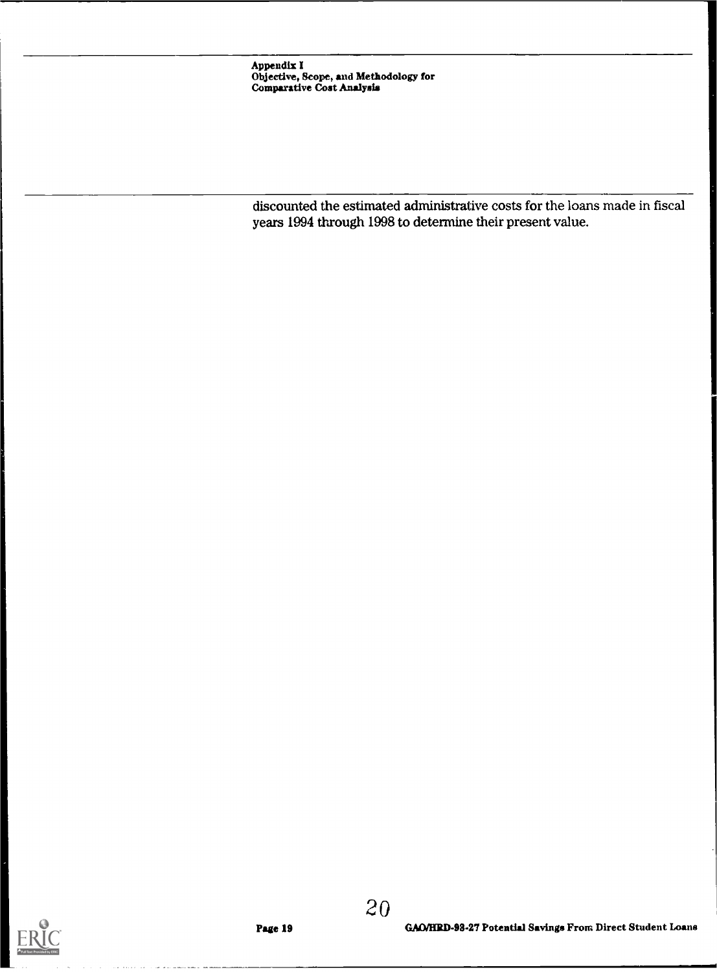Appendix I Objective, Scope, and Methodology for Comparative Coat Analysis

discounted the estimated administrative costs for the loans made in fiscal years 1994 through 1998 to determine their present value.



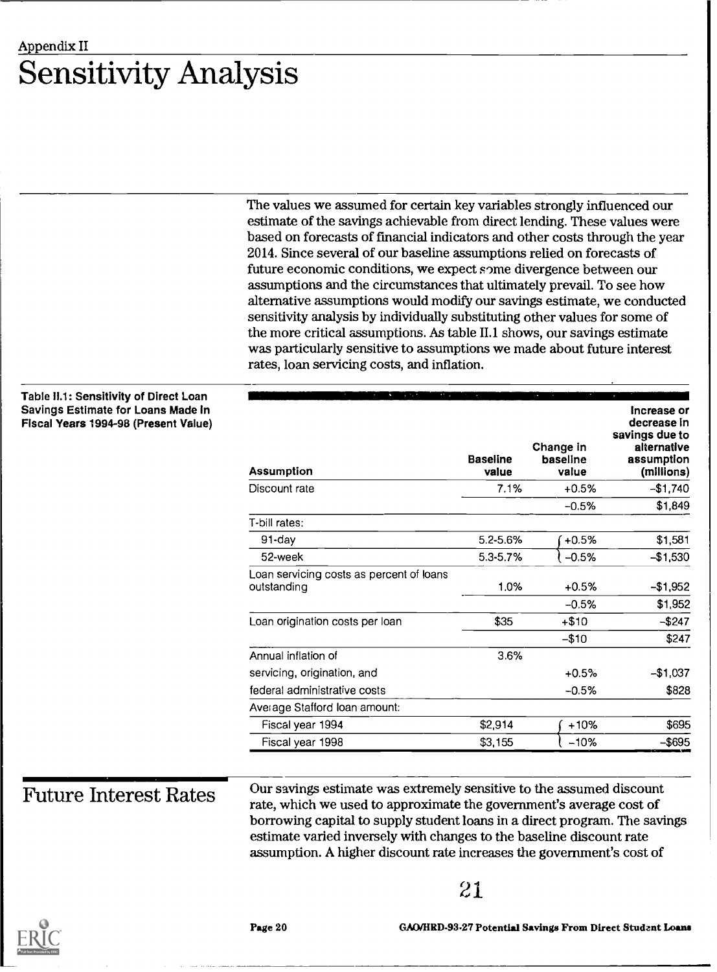## Appendix II Sensitivity Analysis

The values we assumed for certain key variables strongly influenced our estimate of the savings achievable from direct lending. These values were based on forecasts of financial indicators and other costs through the year 2014. Since several of our baseline assumptions relied on forecasts of future economic conditions, we expect some divergence between our assumptions and the circumstances that ultimately prevail. To see how alternative assumptions would modify our savings estimate, we conducted sensitivity analysis by individually substituting other values for some of the more critical assumptions. As table II.1 shows, our savings estimate was particularly sensitive to assumptions we made about future interest rates, loan servicing costs, and inflation.

## Table 11.1: Sensitivity of Direct Loan Savings Estimate for Lo Fiscal Years 1994-98 (P

| <b>pans Made In</b><br>resent Value) | <b>Assumption</b>                                       | <b>Baseline</b><br>value | Change in<br>baseline<br>value | Increase or<br>decrease in<br>savings due to<br>alternative<br>assumption<br>(millions) |
|--------------------------------------|---------------------------------------------------------|--------------------------|--------------------------------|-----------------------------------------------------------------------------------------|
|                                      | Discount rate                                           | 7.1%                     | $+0.5%$                        | $-$1,740$                                                                               |
|                                      |                                                         |                          | $-0.5%$                        | \$1,849                                                                                 |
|                                      | T-bill rates:                                           |                          |                                |                                                                                         |
|                                      | 91-day                                                  | 5.2-5.6%                 | $+0.5%$                        | \$1,581                                                                                 |
|                                      | 52-week                                                 | 5.3-5.7%                 | $-0.5%$                        | $-$1,530$                                                                               |
|                                      | Loan servicing costs as percent of loans<br>outstanding | 1.0%                     | $+0.5%$                        | $-$1,952$                                                                               |
|                                      |                                                         |                          | $-0.5%$                        | \$1,952                                                                                 |
|                                      | Loan origination costs per loan                         | \$35                     | $+ $10$                        | $-$247$                                                                                 |
|                                      |                                                         |                          | $-$10$                         | \$247                                                                                   |
|                                      | Annual inflation of                                     | 3.6%                     |                                |                                                                                         |
|                                      | servicing, origination, and                             |                          | $+0.5%$                        | $-$1,037$                                                                               |
|                                      | federal administrative costs                            |                          | $-0.5%$                        | \$828                                                                                   |
|                                      | Average Stafford Ioan amount:                           |                          |                                |                                                                                         |
|                                      | Fiscal year 1994                                        | \$2,914                  | $+10%$                         | \$695                                                                                   |
|                                      | Fiscal year 1998                                        | \$3,155                  | $-10%$                         | $-$ \$695                                                                               |
|                                      |                                                         |                          |                                |                                                                                         |

Future Interest Rates Our savings estimate was extremely sensitive to the assumed discount rate, which we used to approximate the government's average cost of borrowing capital to supply student loans in a direct program. The savings estimate varied inversely with changes to the baseline discount rate assumption. A higher discount rate increases the government's cost of

## 21



Page 20 GAO/HRD93.27 Potential Savings From Direct Student Loans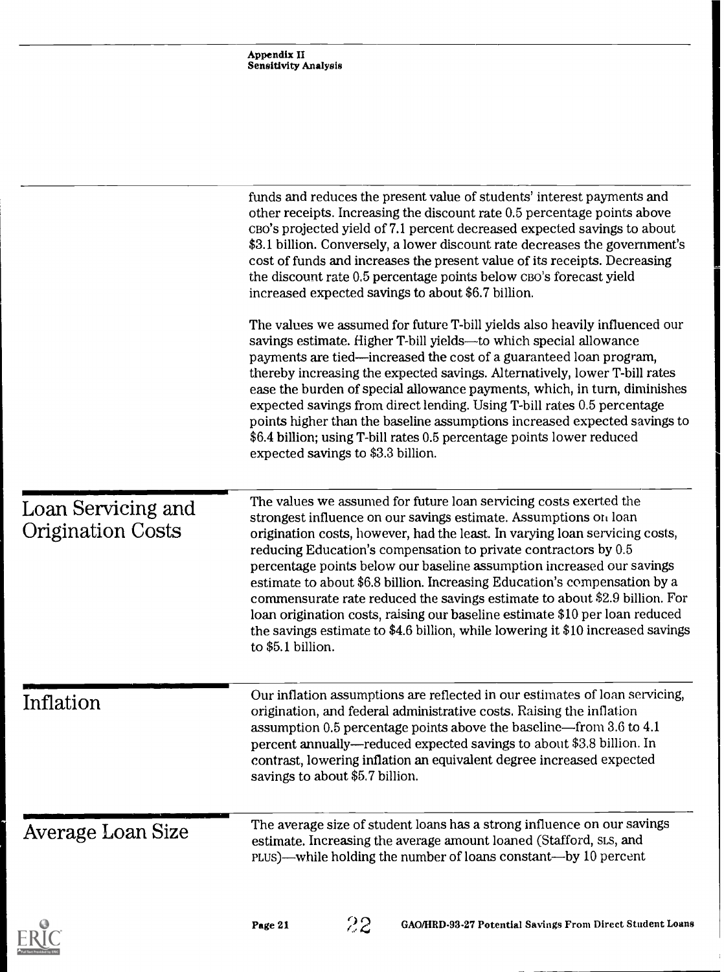|                                                | Appendix II<br><b>Sensitivity Analysis</b>                                                                                                                                                                                                                                                                                                                                                                                                                                                                                                                                                                                                                                                                          |
|------------------------------------------------|---------------------------------------------------------------------------------------------------------------------------------------------------------------------------------------------------------------------------------------------------------------------------------------------------------------------------------------------------------------------------------------------------------------------------------------------------------------------------------------------------------------------------------------------------------------------------------------------------------------------------------------------------------------------------------------------------------------------|
|                                                |                                                                                                                                                                                                                                                                                                                                                                                                                                                                                                                                                                                                                                                                                                                     |
|                                                | funds and reduces the present value of students' interest payments and<br>other receipts. Increasing the discount rate 0.5 percentage points above<br>CBO's projected yield of 7.1 percent decreased expected savings to about<br>\$3.1 billion. Conversely, a lower discount rate decreases the government's<br>cost of funds and increases the present value of its receipts. Decreasing<br>the discount rate 0.5 percentage points below CBO's forecast yield<br>increased expected savings to about \$6.7 billion.                                                                                                                                                                                              |
|                                                | The values we assumed for future T-bill yields also heavily influenced our<br>savings estimate. Higher T-bill yields—to which special allowance<br>payments are tied—increased the cost of a guaranteed loan program,<br>thereby increasing the expected savings. Alternatively, lower T-bill rates<br>ease the burden of special allowance payments, which, in turn, diminishes<br>expected savings from direct lending. Using T-bill rates 0.5 percentage<br>points higher than the baseline assumptions increased expected savings to<br>\$6.4 billion; using T-bill rates 0.5 percentage points lower reduced<br>expected savings to \$3.3 billion.                                                             |
| Loan Servicing and<br><b>Origination Costs</b> | The values we assumed for future loan servicing costs exerted the<br>strongest influence on our savings estimate. Assumptions on loan<br>origination costs, however, had the least. In varying loan servicing costs,<br>reducing Education's compensation to private contractors by 0.5<br>percentage points below our baseline assumption increased our savings<br>estimate to about \$6.8 billion. Increasing Education's compensation by a<br>commensurate rate reduced the savings estimate to about \$2.9 billion. For<br>loan origination costs, raising our baseline estimate \$10 per loan reduced<br>the savings estimate to \$4.6 billion, while lowering it \$10 increased savings<br>to $$5.1$ billion. |
| Inflation                                      | Our inflation assumptions are reflected in our estimates of loan servicing,<br>origination, and federal administrative costs. Raising the inflation<br>assumption 0.5 percentage points above the baseline—from 3.6 to 4.1<br>percent annually—reduced expected savings to about \$3.8 billion. In<br>contrast, lowering inflation an equivalent degree increased expected<br>savings to about \$5.7 billion.                                                                                                                                                                                                                                                                                                       |
| Average Loan Size                              | The average size of student loans has a strong influence on our savings<br>estimate. Increasing the average amount loaned (Stafford, SLS, and<br>plus)—while holding the number of loans constant—by 10 percent                                                                                                                                                                                                                                                                                                                                                                                                                                                                                                     |

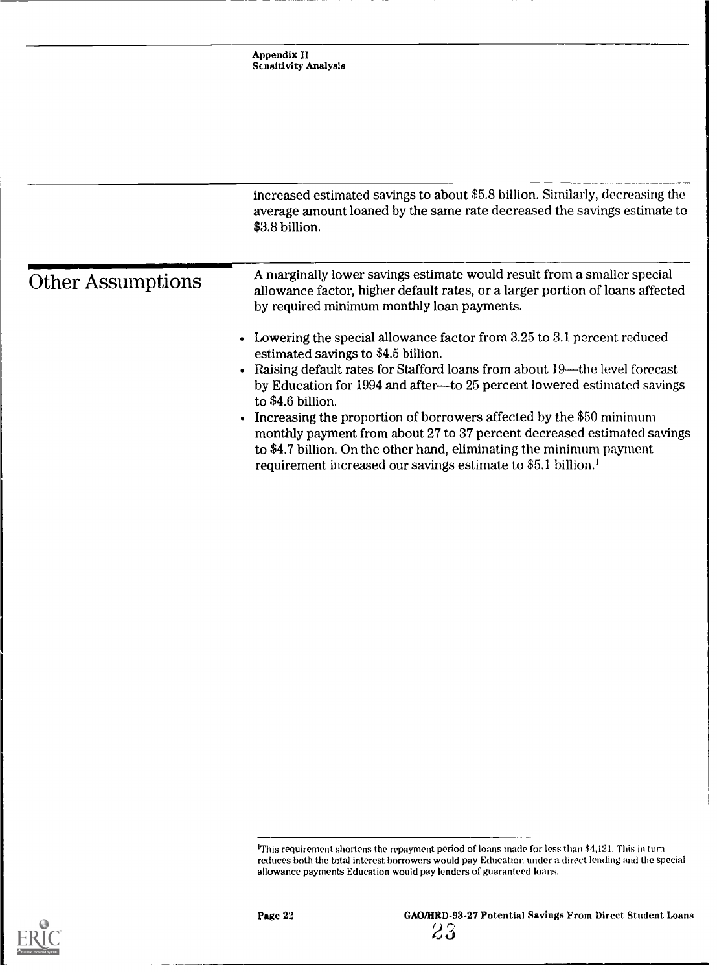|                          | increased estimated savings to about \$5.8 billion. Similarly, decreasing the<br>average amount loaned by the same rate decreased the savings estimate to<br>\$3.8 billion.                                                                                                                                                                                                                                                                                                                                                                                                                                  |
|--------------------------|--------------------------------------------------------------------------------------------------------------------------------------------------------------------------------------------------------------------------------------------------------------------------------------------------------------------------------------------------------------------------------------------------------------------------------------------------------------------------------------------------------------------------------------------------------------------------------------------------------------|
| <b>Other Assumptions</b> | A marginally lower savings estimate would result from a smaller special<br>allowance factor, higher default rates, or a larger portion of loans affected<br>by required minimum monthly loan payments.                                                                                                                                                                                                                                                                                                                                                                                                       |
|                          | • Lowering the special allowance factor from $3.25$ to $3.1$ percent reduced<br>estimated savings to \$4.5 billion.<br>• Raising default rates for Stafford loans from about 19—the level forecast<br>by Education for 1994 and after--to 25 percent lowered estimated savings<br>to \$4.6 billion.<br>• Increasing the proportion of borrowers affected by the \$50 minimum<br>monthly payment from about 27 to 37 percent decreased estimated savings<br>to \$4.7 billion. On the other hand, eliminating the minimum payment<br>requirement increased our savings estimate to \$5.1 billion. <sup>1</sup> |

'This requirement shortens the repayment period of loans made for less than \$4,121. This in turn reduces both the total interest borrowers would pay Education under a direct lending and the special allowance payments Education would pay lenders of guaranteed loans.

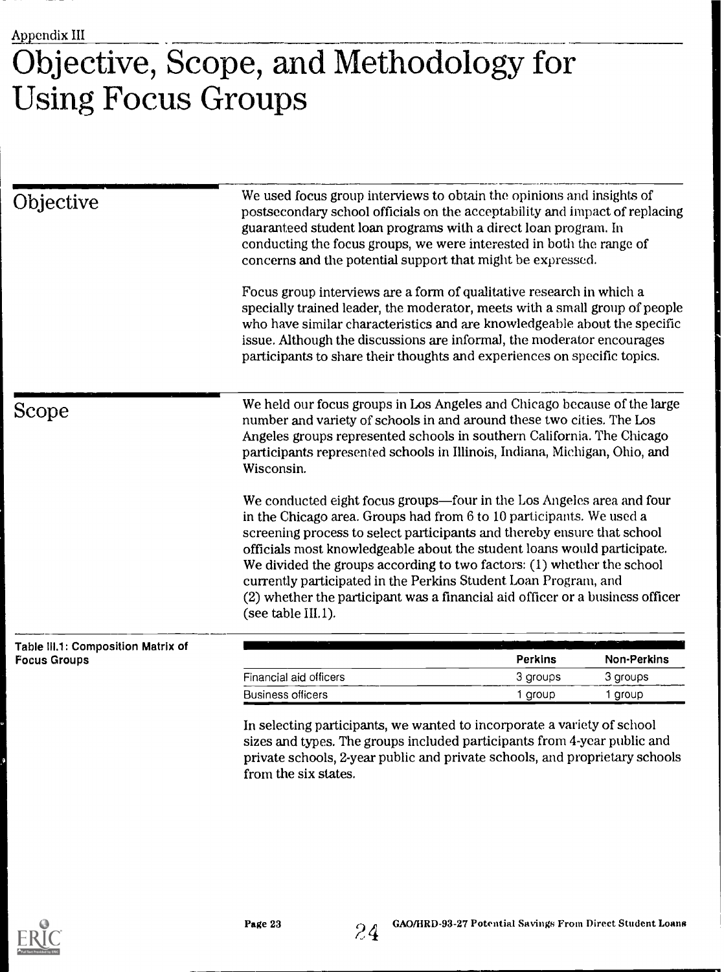# Objective, Scope, and Methodology for Using Focus Groups

| Objective                                                 | We used focus group interviews to obtain the opinions and insights of<br>postsecondary school officials on the acceptability and impact of replacing<br>guaranteed student loan programs with a direct loan program. In<br>conducting the focus groups, we were interested in both the range of<br>concerns and the potential support that might be expressed.<br>Focus group interviews are a form of qualitative research in which a<br>specially trained leader, the moderator, meets with a small group of people<br>who have similar characteristics and are knowledgeable about the specific<br>issue. Although the discussions are informal, the moderator encourages<br>participants to share their thoughts and experiences on specific topics. |                |                    |
|-----------------------------------------------------------|----------------------------------------------------------------------------------------------------------------------------------------------------------------------------------------------------------------------------------------------------------------------------------------------------------------------------------------------------------------------------------------------------------------------------------------------------------------------------------------------------------------------------------------------------------------------------------------------------------------------------------------------------------------------------------------------------------------------------------------------------------|----------------|--------------------|
| Scope                                                     | We held our focus groups in Los Angeles and Chicago because of the large<br>number and variety of schools in and around these two cities. The Los<br>Angeles groups represented schools in southern California. The Chicago<br>participants represented schools in Illinois, Indiana, Michigan, Ohio, and<br>Wisconsin.                                                                                                                                                                                                                                                                                                                                                                                                                                  |                |                    |
|                                                           | We conducted eight focus groups-four in the Los Angeles area and four<br>in the Chicago area. Groups had from 6 to 10 participants. We used a<br>screening process to select participants and thereby ensure that school<br>officials most knowledgeable about the student loans would participate.<br>We divided the groups according to two factors: $(1)$ whether the school<br>currently participated in the Perkins Student Loan Program, and<br>(2) whether the participant was a financial aid officer or a business officer<br>(see table III.1).                                                                                                                                                                                                |                |                    |
| Table III.1: Composition Matrix of<br><b>Focus Groups</b> |                                                                                                                                                                                                                                                                                                                                                                                                                                                                                                                                                                                                                                                                                                                                                          | <b>Perkins</b> | <b>Non-Perkins</b> |
|                                                           | Financial aid officers                                                                                                                                                                                                                                                                                                                                                                                                                                                                                                                                                                                                                                                                                                                                   | 3 groups       | 3 groups           |
|                                                           | <b>Business officers</b>                                                                                                                                                                                                                                                                                                                                                                                                                                                                                                                                                                                                                                                                                                                                 | 1 group        | 1 group            |

sizes and types. The groups included participants from 4-year public and private schools, 2-year public and private schools, and proprietary schools from the six states.



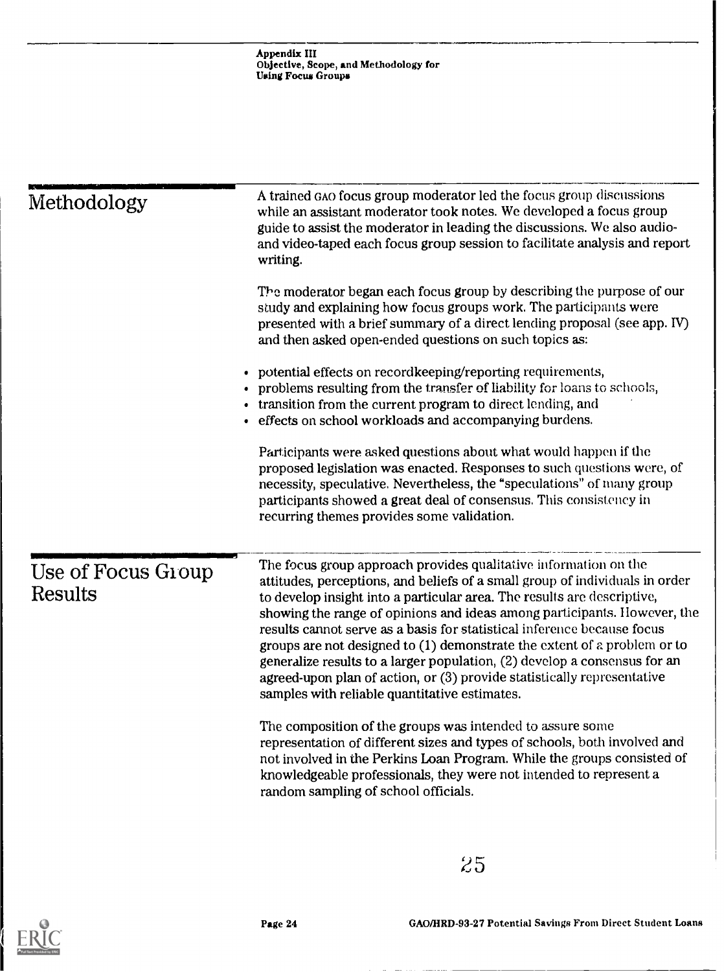| Methodology                          | A trained GAO focus group moderator led the focus group discussions<br>while an assistant moderator took notes. We developed a focus group<br>guide to assist the moderator in leading the discussions. We also audio-<br>and video-taped each focus group session to facilitate analysis and report<br>writing.                                                                                                                                                                                                                                                                                                                                                          |
|--------------------------------------|---------------------------------------------------------------------------------------------------------------------------------------------------------------------------------------------------------------------------------------------------------------------------------------------------------------------------------------------------------------------------------------------------------------------------------------------------------------------------------------------------------------------------------------------------------------------------------------------------------------------------------------------------------------------------|
|                                      | The moderator began each focus group by describing the purpose of our<br>study and explaining how focus groups work. The participants were<br>presented with a brief summary of a direct lending proposal (see app. IV)<br>and then asked open-ended questions on such topics as:                                                                                                                                                                                                                                                                                                                                                                                         |
|                                      | • potential effects on recordkeeping/reporting requirements,<br>problems resulting from the transfer of liability for loans to schools,<br>transition from the current program to direct lending, and<br>· effects on school workloads and accompanying burdens.                                                                                                                                                                                                                                                                                                                                                                                                          |
|                                      | Participants were asked questions about what would happen if the<br>proposed legislation was enacted. Responses to such questions were, of<br>necessity, speculative. Nevertheless, the "speculations" of many group<br>participants showed a great deal of consensus. This consistency in<br>recurring themes provides some validation.                                                                                                                                                                                                                                                                                                                                  |
| Use of Focus Group<br><b>Results</b> | The focus group approach provides qualitative information on the<br>attitudes, perceptions, and beliefs of a small group of individuals in order<br>to develop insight into a particular area. The results are descriptive,<br>showing the range of opinions and ideas among participants. However, the<br>results cannot serve as a basis for statistical inference because focus<br>groups are not designed to $(1)$ demonstrate the extent of a problem or to<br>generalize results to a larger population, (2) develop a consensus for an<br>agreed-upon plan of action, or (3) provide statistically representative<br>samples with reliable quantitative estimates. |
|                                      | The composition of the groups was intended to assure some<br>representation of different sizes and types of schools, both involved and<br>not involved in the Perkins Loan Program. While the groups consisted of<br>knowledgeable professionals, they were not intended to represent a<br>random sampling of school officials.                                                                                                                                                                                                                                                                                                                                           |

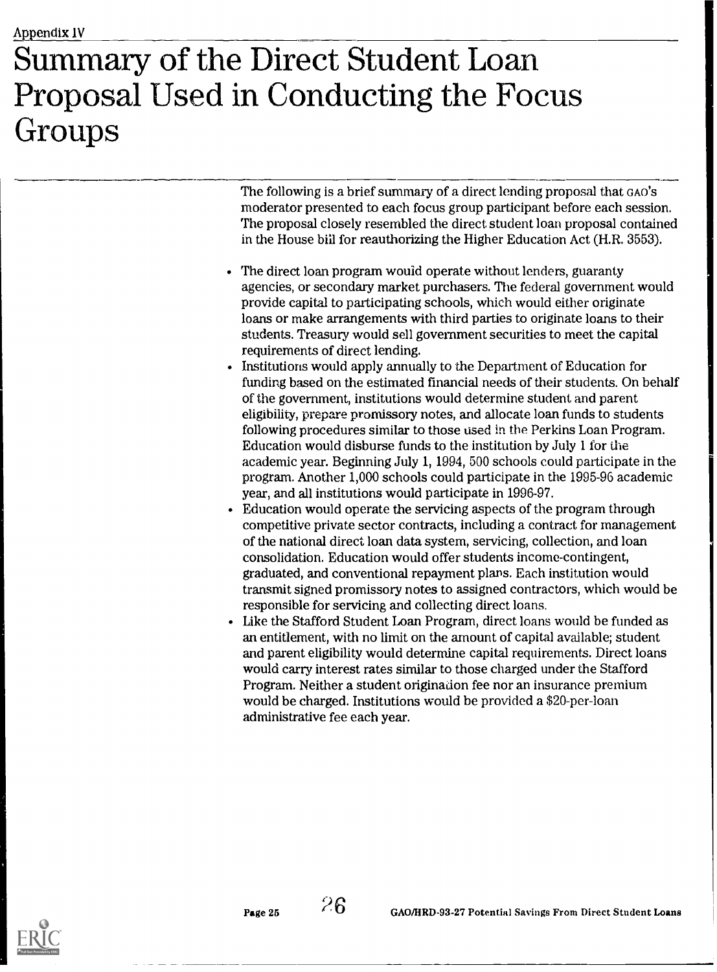# Summary of the Direct Student Loan Proposal Used in Conducting the Focus Groups

The following is a brief summary of a direct lending proposal that GAO's moderator presented to each focus group participant before each session. The proposal closely resembled the direct student loan proposal contained in the House bill for reauthorizing the Higher Education Act (H.R. 3553).

- The direct loan program would operate without lenders, guaranty agencies, or secondary market purchasers. The federal government would provide capital to participating schools, which would either originate loans or make arrangements with third parties to originate loans to their students. Treasury would sell government securities to meet the capital requirements of direct lending.
- Institutions would apply annually to the Department of Education for funding based on the estimated financial needs of their students. On behalf of the government, institutions would determine student and parent eligibility, prepare promissory notes, and allocate loan funds to students following procedures similar to those used in the Perkins Loan Program. Education would disburse funds to the institution by July 1 for the academic year. Beginning July 1, 1994, 500 schools could participate in the program. Another 1,000 schools could participate in the 1995-96 academic year, and all institutions would participate in 1996-97.
- Education would operate the servicing aspects of the program through competitive private sector contracts, including a contract for management of the national direct loan data system, servicing, collection, and loan consolidation. Education would offer students income-contingent, graduated, and conventional repayment plans. Each institution would transmit signed promissory notes to assigned contractors, which would be responsible for servicing and collecting direct loans.
- Like the Stafford Student Loan Program, direct loans would be funded as an entitlement, with no limit on the amount of capital available; student and parent eligibility would determine capital requirements. Direct loans would carry interest rates similar to those charged under the Stafford Program. Neither a student origination fee nor an insurance premium would be charged. Institutions would be provided a \$20-per-loan administrative fee each year.

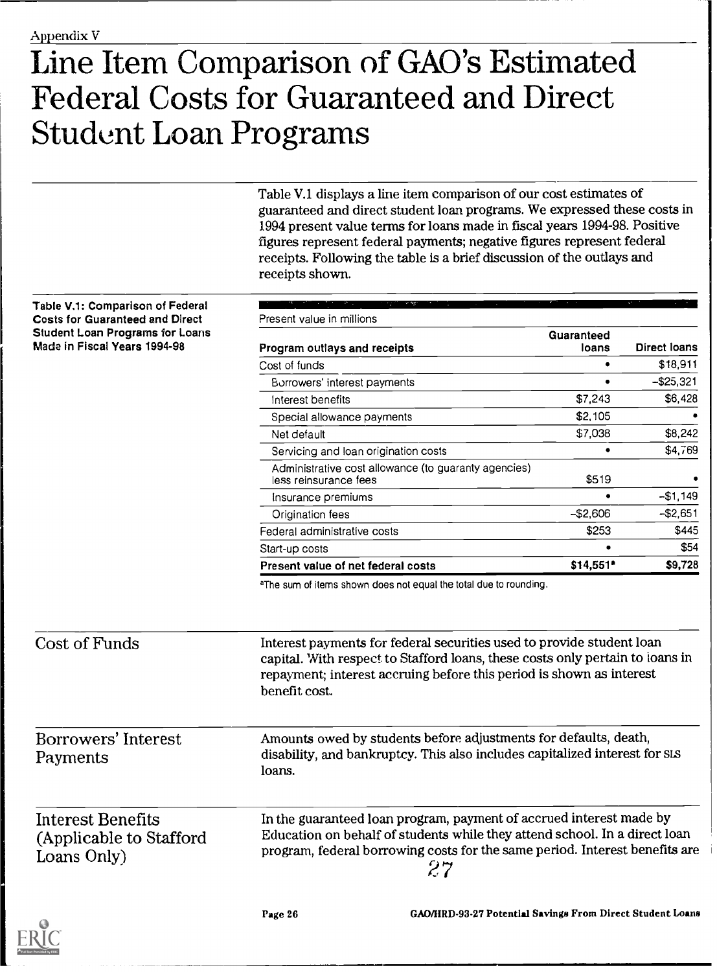# Line Item Comparison of GAO's Estimated Federal Costs for Guaranteed and Direct Student Loan Programs

Table V.1 displays a line item comparison of our cost estimates of guaranteed and direct student loan programs. We expressed these costs in 1994 present value terms for loans made in fiscal years 1994-98. Positive figures represent federal payments; negative figures represent federal receipts. Following the table is a brief discussion of the outlays and receipts shown.

| Table V.1: Comparison of Federal                                       | Present value in millions                                                                                                                                                                                                                       |                     |                     |  |  |
|------------------------------------------------------------------------|-------------------------------------------------------------------------------------------------------------------------------------------------------------------------------------------------------------------------------------------------|---------------------|---------------------|--|--|
| <b>Costs for Guaranteed and Direct</b>                                 |                                                                                                                                                                                                                                                 |                     |                     |  |  |
| <b>Student Loan Programs for Loans</b><br>Made in Fiscal Years 1994-98 | Program outlays and receipts                                                                                                                                                                                                                    | Guaranteed<br>loans | <b>Direct loans</b> |  |  |
|                                                                        | Cost of funds                                                                                                                                                                                                                                   | $\bullet$           | \$18,911            |  |  |
|                                                                        | Borrowers' interest payments                                                                                                                                                                                                                    | $\bullet$           | $-$ \$25,321        |  |  |
|                                                                        | Interest benefits                                                                                                                                                                                                                               | \$7,243             | \$6,428             |  |  |
|                                                                        | Special allowance payments                                                                                                                                                                                                                      | \$2,105             |                     |  |  |
|                                                                        | Net default                                                                                                                                                                                                                                     | \$7,038             | \$8,242             |  |  |
|                                                                        | Servicing and loan origination costs                                                                                                                                                                                                            |                     | \$4,769             |  |  |
|                                                                        | Administrative cost allowance (to guaranty agencies)<br>less reinsurance fees                                                                                                                                                                   | \$519               |                     |  |  |
|                                                                        | Insurance premiums                                                                                                                                                                                                                              |                     | $-$1,149$           |  |  |
|                                                                        | Origination fees                                                                                                                                                                                                                                | $-$2,606$           | $-$2,651$           |  |  |
|                                                                        | Federal administrative costs                                                                                                                                                                                                                    | \$253               | \$445               |  |  |
|                                                                        | Start-up costs                                                                                                                                                                                                                                  |                     | \$54                |  |  |
|                                                                        | Present value of net federal costs                                                                                                                                                                                                              | $$14,551$ *         | \$9,728             |  |  |
|                                                                        | aThe sum of items shown does not equal the total due to rounding.                                                                                                                                                                               |                     |                     |  |  |
| <b>Cost of Funds</b>                                                   | Interest payments for federal securities used to provide student loan<br>capital. With respect to Stafford loans, these costs only pertain to loans in<br>repayment; interest accruing before this period is shown as interest<br>benefit cost. |                     |                     |  |  |
| Borrowers' Interest<br>Payments                                        | Amounts owed by students before adjustments for defaults, death,<br>disability, and bankruptcy. This also includes capitalized interest for SLS<br>loans.                                                                                       |                     |                     |  |  |



Page 26 GAO/IIRD-93-27 Potential Savings From Direct Student Loans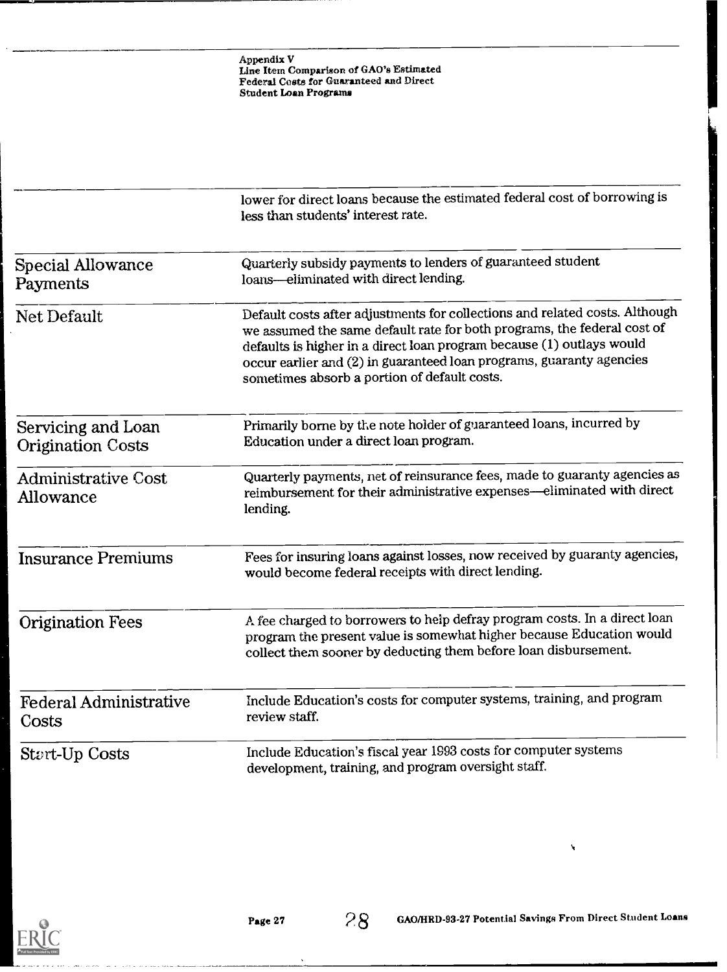|                                                | lower for direct loans because the estimated federal cost of borrowing is<br>less than students' interest rate.                                                                                                                                                                                                                                         |  |
|------------------------------------------------|---------------------------------------------------------------------------------------------------------------------------------------------------------------------------------------------------------------------------------------------------------------------------------------------------------------------------------------------------------|--|
| <b>Special Allowance</b><br>Payments           | Quarterly subsidy payments to lenders of guaranteed student<br>loans-eliminated with direct lending.                                                                                                                                                                                                                                                    |  |
| Net Default                                    | Default costs after adjustments for collections and related costs. Although<br>we assumed the same default rate for both programs, the federal cost of<br>defaults is higher in a direct loan program because (1) outlays would<br>occur earlier and (2) in guaranteed loan programs, guaranty agencies<br>sometimes absorb a portion of default costs. |  |
| Servicing and Loan<br><b>Origination Costs</b> | Primarily borne by the note holder of guaranteed loans, incurred by<br>Education under a direct loan program.                                                                                                                                                                                                                                           |  |
| <b>Administrative Cost</b><br>Allowance        | Quarterly payments, net of reinsurance fees, made to guaranty agencies as<br>reimbursement for their administrative expenses-eliminated with direct<br>lending.                                                                                                                                                                                         |  |
| <b>Insurance Premiums</b>                      | Fees for insuring loans against losses, now received by guaranty agencies,<br>would become federal receipts with direct lending.                                                                                                                                                                                                                        |  |
| <b>Origination Fees</b>                        | A fee charged to borrowers to help defray program costs. In a direct loan<br>program the present value is somewhat higher because Education would<br>collect them sooner by deducting them before loan disbursement.                                                                                                                                    |  |
| <b>Federal Administrative</b><br>Costs         | Include Education's costs for computer systems, training, and program<br>review staff.                                                                                                                                                                                                                                                                  |  |
| <b>Start-Up Costs</b>                          | Include Education's fiscal year 1993 costs for computer systems<br>development, training, and program oversight staff.                                                                                                                                                                                                                                  |  |

 $\hat{\mathbf{v}}$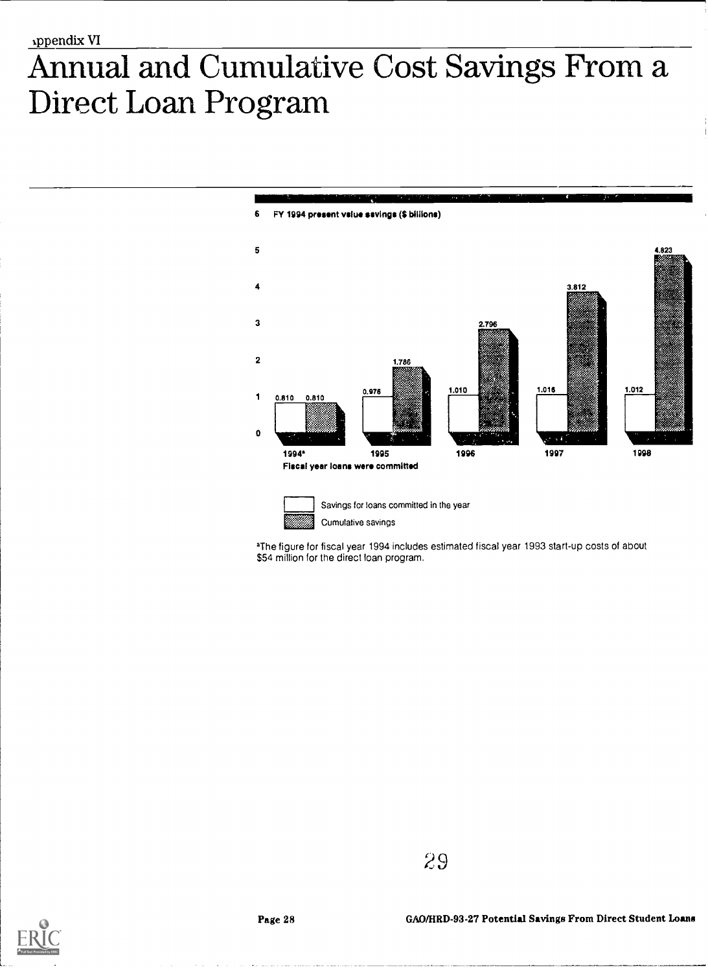# Annual and Cumulative Cost Savings From a Direct Loan Program





Savings for loans committed in the year Cumulative savings

aThe figure for fiscal year 1994 includes estimated fiscal year 1993 start-up costs of about \$54 million for the direct loan program.

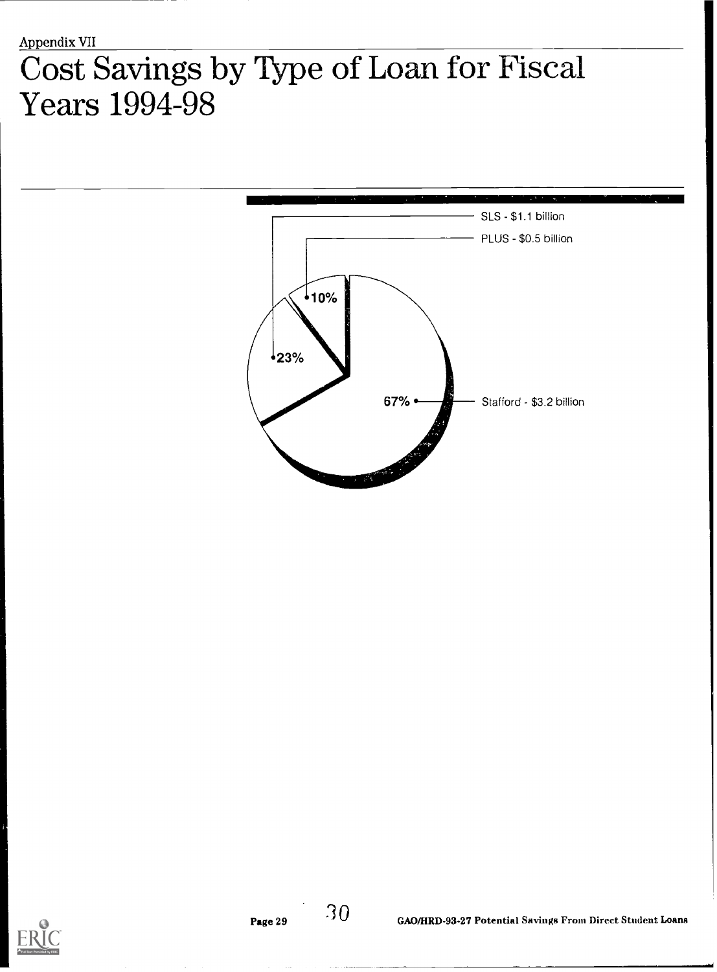# Cost Savings by Type of Loan for Fiscal Years 1994-98



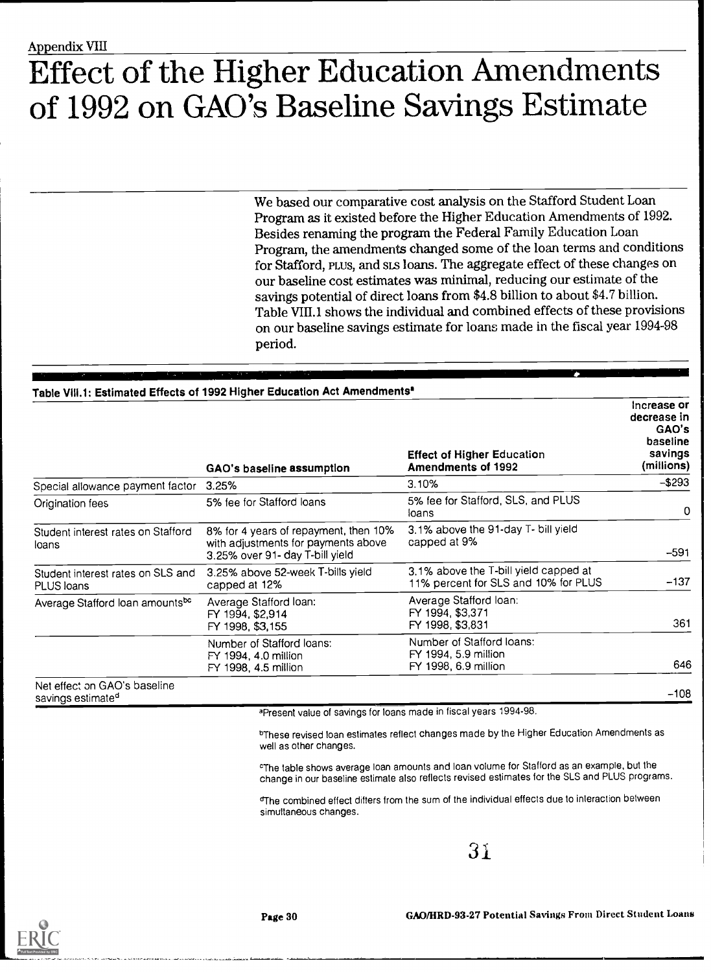# Effect of the Higher Education Amendments of 1992 on GAO's Baseline Savings Estimate

We based our comparative cost analysis on the Stafford Student Loan Program as it existed before the Higher Education Amendments of 1992. Besides renaming the program the Federal Family Education Loan Program, the amendments changed some of the loan terms and conditions for Stafford, PLUS, and SLS loans. The aggregate effect of these changes on our baseline cost estimates was minimal, reducing our estimate of the savings potential of direct loans from \$4.8 billion to about \$4.7 billion. Table VIII.1 shows the individual and combined effects of these provisions on our baseline savings estimate for loans made in the fiscal year 1994-98 period.

## Table VIII.1: Estimated Effects of 1992 Higher Education Act Amendments<sup>®</sup>

|                                                               | GAO's baseline assumption                                                                                       | <b>Effect of Higher Education</b><br><b>Amendments of 1992</b>                | Increase or<br>decrease in<br>GAO's<br>baseline<br>savings<br>(millions) |
|---------------------------------------------------------------|-----------------------------------------------------------------------------------------------------------------|-------------------------------------------------------------------------------|--------------------------------------------------------------------------|
| Special allowance payment factor                              | 3.25%                                                                                                           | 3.10%                                                                         | $-$293$                                                                  |
| Origination fees                                              | 5% fee for Stafford loans                                                                                       | 5% fee for Stafford, SLS, and PLUS<br>loans                                   | 0                                                                        |
| Student interest rates on Stafford<br>loans                   | 8% for 4 years of repayment, then 10%<br>with adjustments for payments above<br>3.25% over 91- day T-bill yield | 3.1% above the 91-day T- bill yield<br>capped at 9%                           | $-591$                                                                   |
| Student interest rates on SLS and<br>PLUS loans               | 3.25% above 52-week T-bills yield<br>capped at 12%                                                              | 3.1% above the T-bill yield capped at<br>11% percent for SLS and 10% for PLUS | $-137$                                                                   |
| Average Stafford loan amountsbc                               | Average Stafford loan:<br>FY 1994, \$2,914<br>FY 1998, \$3,155                                                  | Average Stafford Ioan:<br>FY 1994, \$3,371<br>FY 1998, \$3,831                | 361                                                                      |
|                                                               | Number of Stafford loans:<br>FY 1994, 4.0 million<br>FY 1998, 4.5 million                                       | Number of Stafford loans:<br>FY 1994, 5.9 million<br>FY 1998, 6.9 million     | 646                                                                      |
| Net effect on GAO's baseline<br>savings estimate <sup>d</sup> |                                                                                                                 |                                                                               | $-108$                                                                   |

aPresent value of savings for loans made in fiscal years 1994-98.

bThese revised loan estimates reflect changes made by the Higher Education Amendments as well as other changes.

cThe table shows average loan amounts and loan volume for Stafford as an example, but the change in our baseline estimate also reflects revised estimates for the SLS and PLUS programs.

dThe combined effect difters from the sum of the individual effects due to interaction between simultaneous changes.

31



GAO/HRD-93-27 Potential Savings From Direct Student Loans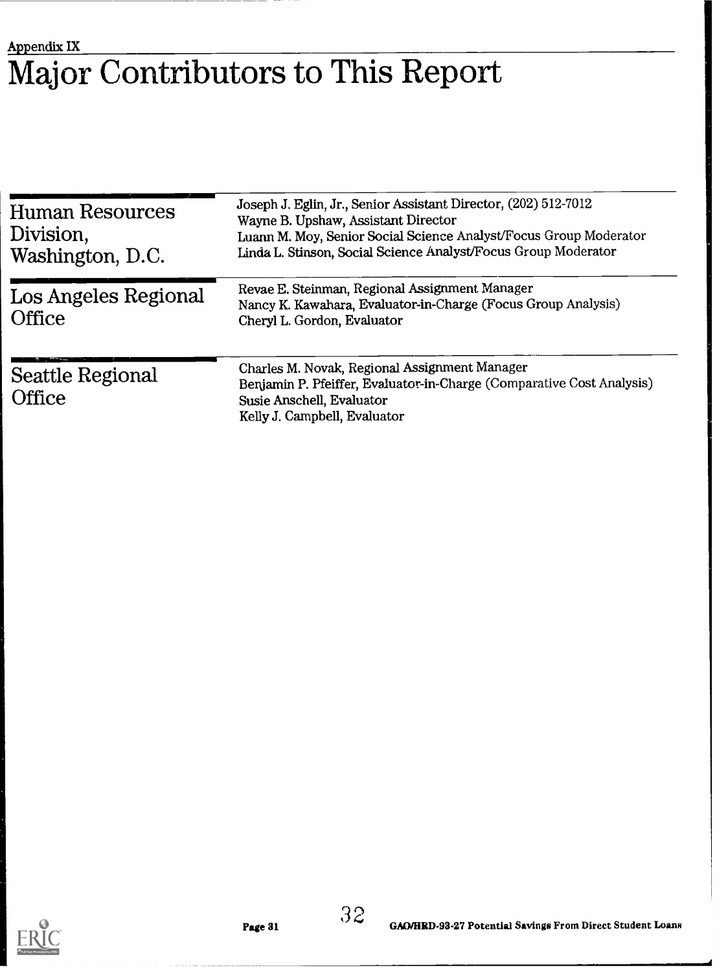## Appendix IX Major Contributors to This Report

| <b>Human Resources</b><br>Division,<br>Washington, D.C. | Joseph J. Eglin, Jr., Senior Assistant Director, (202) 512-7012<br>Wayne B. Upshaw, Assistant Director<br>Luann M. Moy, Senior Social Science Analyst/Focus Group Moderator<br>Linda L. Stinson, Social Science Analyst/Focus Group Moderator |  |  |
|---------------------------------------------------------|-----------------------------------------------------------------------------------------------------------------------------------------------------------------------------------------------------------------------------------------------|--|--|
| Los Angeles Regional<br><b>Office</b>                   | Revae E. Steinman, Regional Assignment Manager<br>Nancy K. Kawahara, Evaluator-in-Charge (Focus Group Analysis)<br>Cheryl L. Gordon, Evaluator                                                                                                |  |  |
| <b>Seattle Regional</b><br><b>Office</b>                | Charles M. Novak, Regional Assignment Manager<br>Benjamin P. Pfeiffer, Evaluator-in-Charge (Comparative Cost Analysis)<br>Susie Anschell, Evaluator<br>Kelly J. Campbell, Evaluator                                                           |  |  |



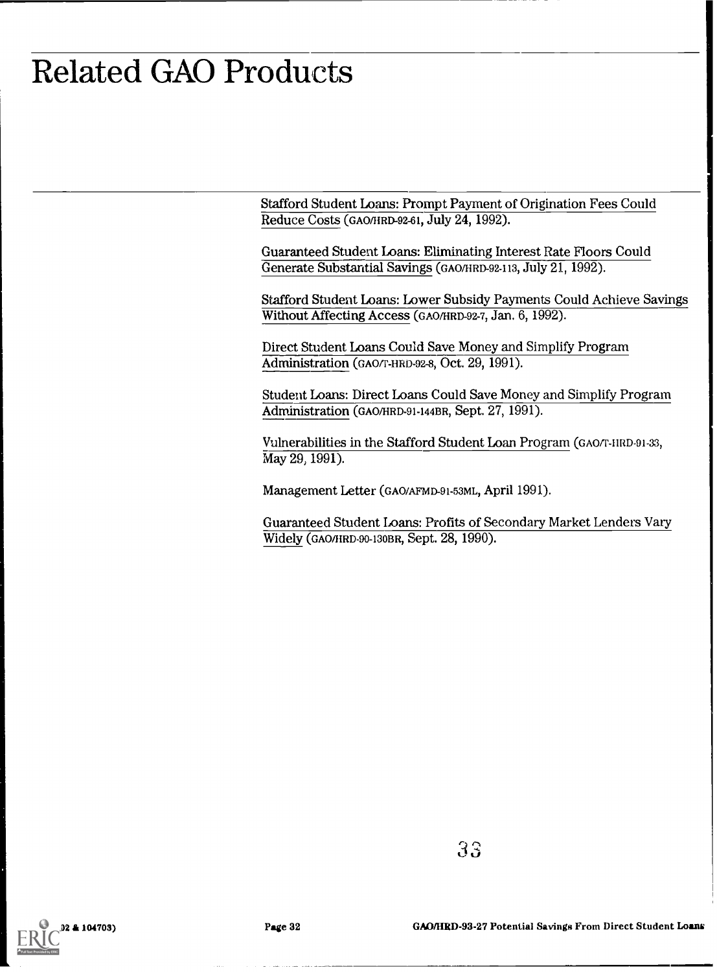# Related GAO Products

Stafford Student Loans: Prompt Payment of Origination Fees Could Reduce Costs (GAO/HRD-92-61, July 24, 1992).

Guaranteed Student Loans: Eliminating Interest Rate Floors Could Generate Substantial Savings (GAO/HRD-92-113, July 21, 1992).

Stafford Student Loans: Lower Subsidy Payments Could Achieve Savings Without Affecting Access (GAO/HRD-92-7, Jan. 6, 1992).

Direct Student Loans Could Save Money and Simplify Program Administration (GAO/T-HRD-92-8, Oct. 29, 1991).

Student Loans: Direct Loans Could Save Money and Simplify Program Administration (GAO/HRD-91-144BR, Sept. 27, 1991).

Vulnerabilities in the Stafford Student Loan Program (GAO/T-HRD-91-33, May 29, 1991).

Management Letter (GAO/AFMD-91-53ML, April 1991).

Guaranteed Student Loans: Profits of Secondary Market Lenders Vary Widely (GAO/IIRD-90-130BR, Sept. 28, 1990).

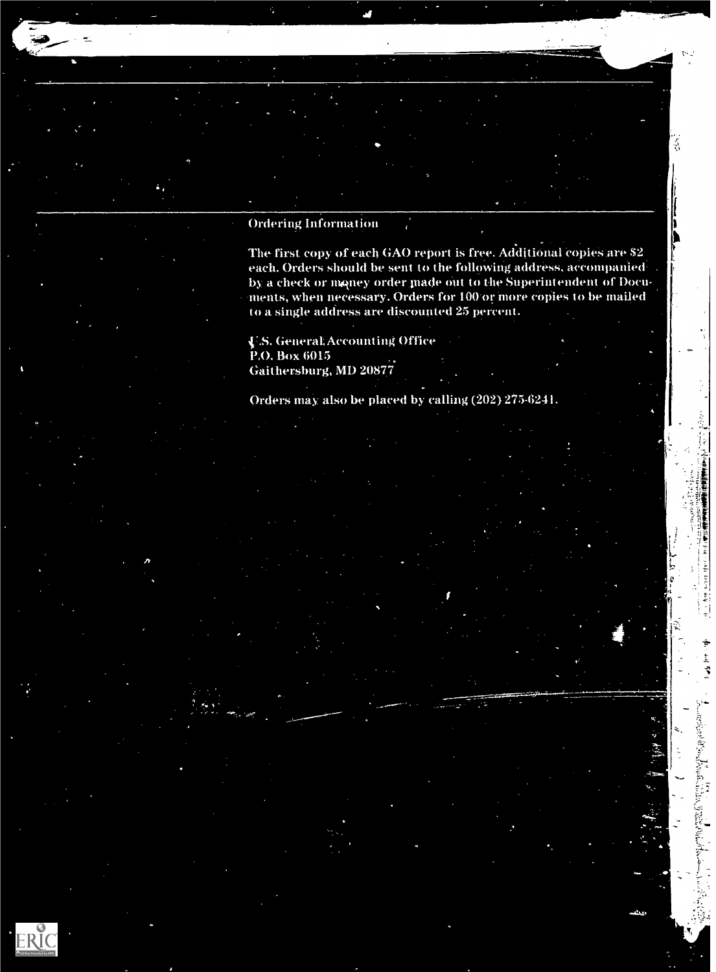ERI

Ordering Information

The first copy of each GAO report is free. Additional copies are \$2 each. Orders should be sent to the following address, accompanied by a check or money order made out to the Superintendent of Documents, when necessary. Orders for 100 or more copies to be mailed to a single address are discounted 25 percent.

 $\mathbf{v}$ 

V.S. General:Accounting Office P.O. Box 6015 Gaithersburg, MD 20877

Orders may also be placed by calling (202) 275-6241.

 $\bullet$